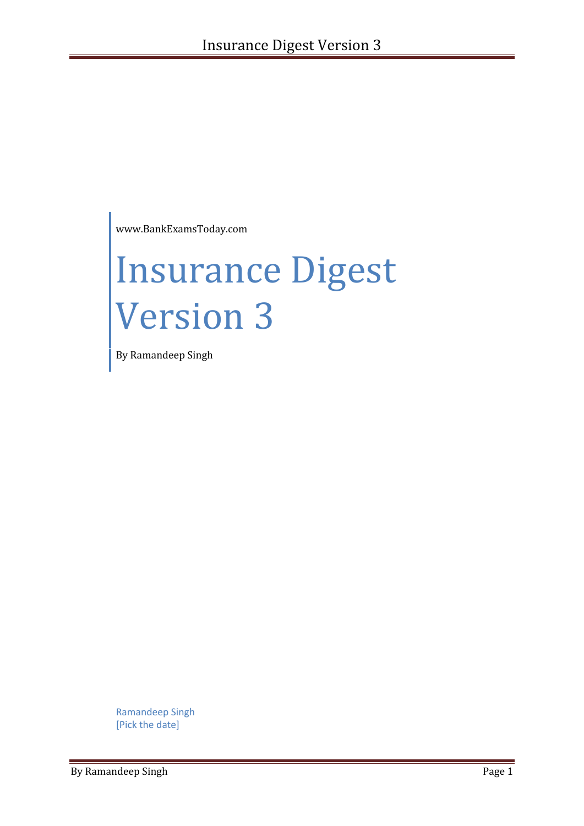www.BankExamsToday.com

# Insurance Digest Version 3

By Ramandeep Singh

Ramandeep Singh [Pick the date]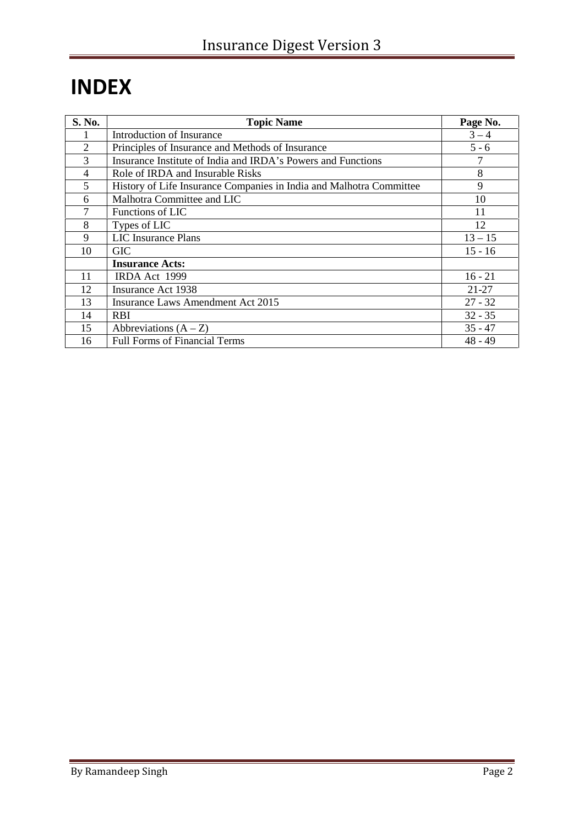# **INDEX**

| S. No.         | <b>Topic Name</b>                                                   | Page No.  |
|----------------|---------------------------------------------------------------------|-----------|
|                | Introduction of Insurance                                           | $3 - 4$   |
| $\overline{2}$ | Principles of Insurance and Methods of Insurance                    | $5 - 6$   |
| 3              | Insurance Institute of India and IRDA's Powers and Functions        |           |
| 4              | Role of IRDA and Insurable Risks                                    | 8         |
| 5              | History of Life Insurance Companies in India and Malhotra Committee | 9         |
| 6              | Malhotra Committee and LIC                                          | 10        |
| 7              | Functions of LIC                                                    | 11        |
| 8              | Types of LIC                                                        | 12        |
| 9              | <b>LIC</b> Insurance Plans                                          | $13 - 15$ |
| 10             | <b>GIC</b>                                                          | $15 - 16$ |
|                | <b>Insurance Acts:</b>                                              |           |
| 11             | IRDA Act 1999                                                       | $16 - 21$ |
| 12             | <b>Insurance Act 1938</b>                                           | 21-27     |
| 13             | <b>Insurance Laws Amendment Act 2015</b>                            | $27 - 32$ |
| 14             | <b>RBI</b>                                                          | $32 - 35$ |
| 15             | Abbreviations $(A - Z)$                                             | $35 - 47$ |
| 16             | <b>Full Forms of Financial Terms</b>                                | $48 - 49$ |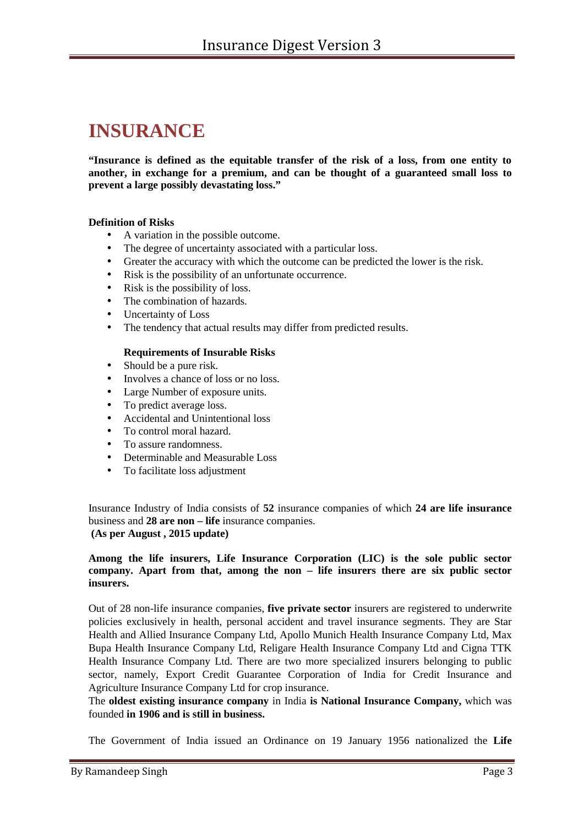# **INSURANCE**

**"Insurance is defined as the equitable transfer of the risk of a loss, from one entity to another, in exchange for a premium, and can be thought of a guaranteed small loss to prevent a large possibly devastating loss."**

#### **Definition of Risks**

- A variation in the possible outcome.
- The degree of uncertainty associated with a particular loss.
- Greater the accuracy with which the outcome can be predicted the lower is the risk.
- Risk is the possibility of an unfortunate occurrence.
- Risk is the possibility of loss.
- The combination of hazards.
- Uncertainty of Loss
- The tendency that actual results may differ from predicted results.

#### **Requirements of Insurable Risks**

- Should be a pure risk.
- Involves a chance of loss or no loss.
- Large Number of exposure units.
- To predict average loss.
- Accidental and Unintentional loss
- To control moral hazard.
- To assure randomness
- Determinable and Measurable Loss
- To facilitate loss adjustment

Insurance Industry of India consists of **52** insurance companies of which **24 are life insurance** business and **28 are non – life** insurance companies. **(As per August , 2015 update)**

#### **Among the life insurers, Life Insurance Corporation (LIC) is the sole public sector company. Apart from that, among the non – life insurers there are six public sector insurers.**

Out of 28 non-life insurance companies, **five private sector** insurers are registered to underwrite policies exclusively in health, personal accident and travel insurance segments. They are Star Health and Allied Insurance Company Ltd, Apollo Munich Health Insurance Company Ltd, Max Bupa Health Insurance Company Ltd, Religare Health Insurance Company Ltd and Cigna TTK Health Insurance Company Ltd. There are two more specialized insurers belonging to public sector, namely, Export Credit Guarantee Corporation of India for Credit Insurance and Agriculture Insurance Company Ltd for crop insurance.

The **oldest existing insurance company** in India **is National Insurance Company,** which was founded **in 1906 and is still in business.**

The Government of India issued an Ordinance on 19 January 1956 nationalized the **Life**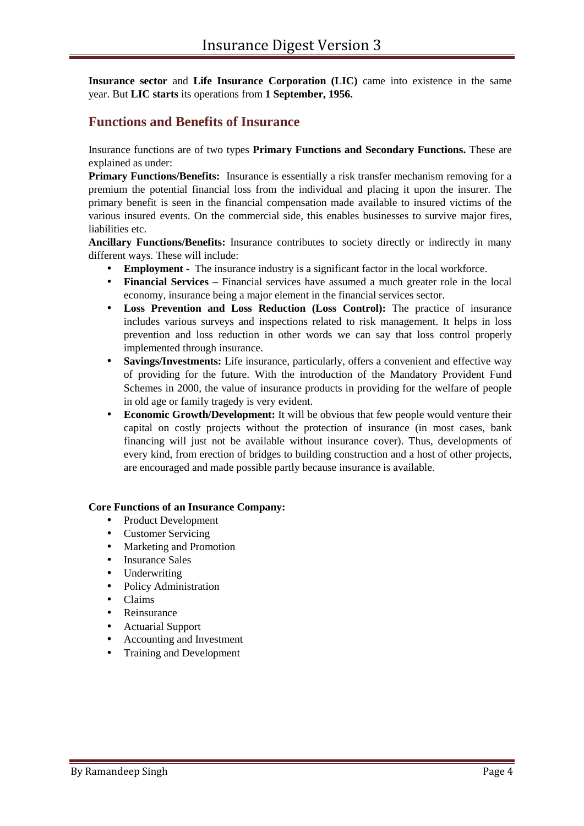**Insurance sector** and **Life Insurance Corporation (LIC)** came into existence in the same year. But **LIC starts** its operations from **1 September, 1956.**

#### **Functions and Benefits of Insurance**

Insurance functions are of two types **Primary Functions and Secondary Functions.** These are explained as under:

**Primary Functions/Benefits:** Insurance is essentially a risk transfer mechanism removing for a premium the potential financial loss from the individual and placing it upon the insurer. The primary benefit is seen in the financial compensation made available to insured victims of the various insured events. On the commercial side, this enables businesses to survive major fires, liabilities etc.

**b) Ancillary Functions/Benefits:** Insurance contributes to society directly or indirectly in many different ways. These will include:

- **Employment -** The insurance industry is a significant factor in the local workforce.
- **Financial Services –** Financial services have assumed a much greater role in the local economy, insurance being a major element in the financial services sector.
- **Loss Prevention and Loss Reduction (Loss Control):** The practice of insurance includes various surveys and inspections related to risk management. It helps in loss prevention and loss reduction in other words we can say that loss control properly implemented through insurance.
- **Savings/Investments:** Life insurance, particularly, offers a convenient and effective way of providing for the future. With the introduction of the Mandatory Provident Fund Schemes in 2000, the value of insurance products in providing for the welfare of people in old age or family tragedy is very evident.
- **Economic Growth/Development:** It will be obvious that few people would venture their capital on costly projects without the protection of insurance (in most cases, bank financing will just not be available without insurance cover). Thus, developments of every kind, from erection of bridges to building construction and a host of other projects, are encouraged and made possible partly because insurance is available.

#### **Core Functions of an Insurance Company:**

- Product Development
- Customer Servicing
- Marketing and Promotion
- Insurance Sales
- Underwriting
- Policy Administration
- Claims
- Reinsurance
- Actuarial Support
- Accounting and Investment
- Training and Development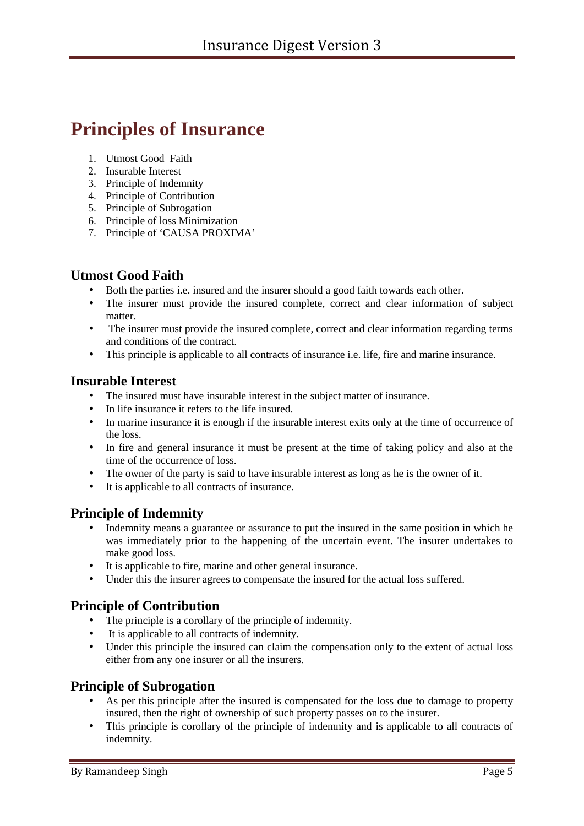# **Principles of Insurance**

- 1. Utmost Good Faith
- 2. Insurable Interest
- 3. Principle of Indemnity
- 4. Principle of Contribution
- 5. Principle of Subrogation
- 6. Principle of loss Minimization
- 7. Principle of 'CAUSA PROXIMA'

#### **Utmost Good Faith**

- Both the parties i.e. insured and the insurer should a good faith towards each other.
- The insurer must provide the insured complete, correct and clear information of subject matter.
- The insurer must provide the insured complete, correct and clear information regarding terms and conditions of the contract.
- This principle is applicable to all contracts of insurance i.e. life, fire and marine insurance.

#### **Insurable Interest**

- The insured must have insurable interest in the subject matter of insurance.
- In life insurance it refers to the life insured.
- In marine insurance it is enough if the insurable interest exits only at the time of occurrence of the loss.
- In fire and general insurance it must be present at the time of taking policy and also at the time of the occurrence of loss.
- The owner of the party is said to have insurable interest as long as he is the owner of it.
- It is applicable to all contracts of insurance.

### **Principle of Indemnity**

- Indemnity means a guarantee or assurance to put the insured in the same position in which he was immediately prior to the happening of the uncertain event. The insurer undertakes to make good loss.
- It is applicable to fire, marine and other general insurance.
- Under this the insurer agrees to compensate the insured for the actual loss suffered.

### **Principle of Contribution**

- The principle is a corollary of the principle of indemnity.
- It is applicable to all contracts of indemnity.
- Under this principle the insured can claim the compensation only to the extent of actual loss either from any one insurer or all the insurers.

### **Principle of Subrogation**

- As per this principle after the insured is compensated for the loss due to damage to property insured, then the right of ownership of such property passes on to the insurer.
- This principle is corollary of the principle of indemnity and is applicable to all contracts of indemnity.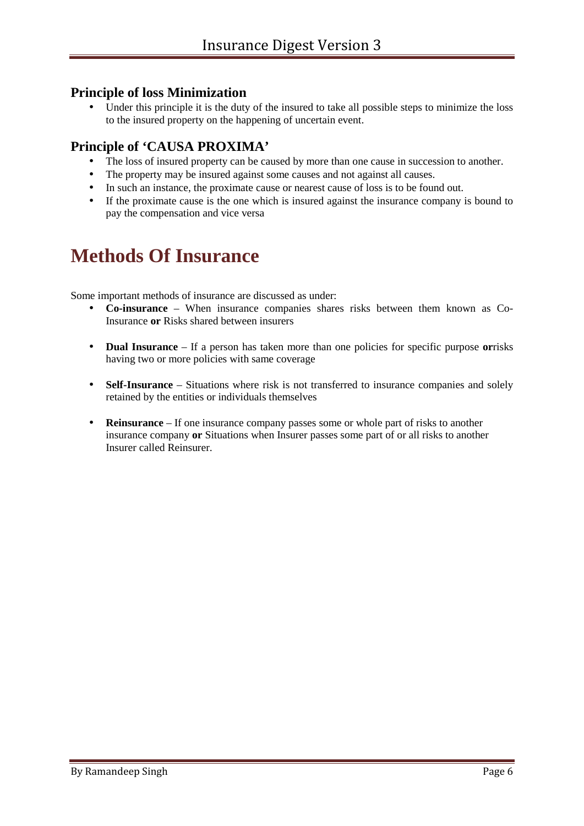#### **Principle of loss Minimization**

 Under this principle it is the duty of the insured to take all possible steps to minimize the loss to the insured property on the happening of uncertain event.

### **Principle of 'CAUSA PROXIMA'**

- The loss of insured property can be caused by more than one cause in succession to another.
- The property may be insured against some causes and not against all causes.
- In such an instance, the proximate cause or nearest cause of loss is to be found out.
- If the proximate cause is the one which is insured against the insurance company is bound to pay the compensation and vice versa

# **Methods Of Insurance**

Some important methods of insurance are discussed as under:

- **Co-insurance** When insurance companies shares risks between them known as Co-Insurance **or** Risks shared between insurers
- **Dual Insurance** If a person has taken more than one policies for specific purpose **or**risks having two or more policies with same coverage
- **Self-Insurance** Situations where risk is not transferred to insurance companies and solely retained by the entities or individuals themselves
- **Reinsurance** If one insurance company passes some or whole part of risks to another insurance company **or** Situations when Insurer passes some part of or all risks to another Insurer called Reinsurer.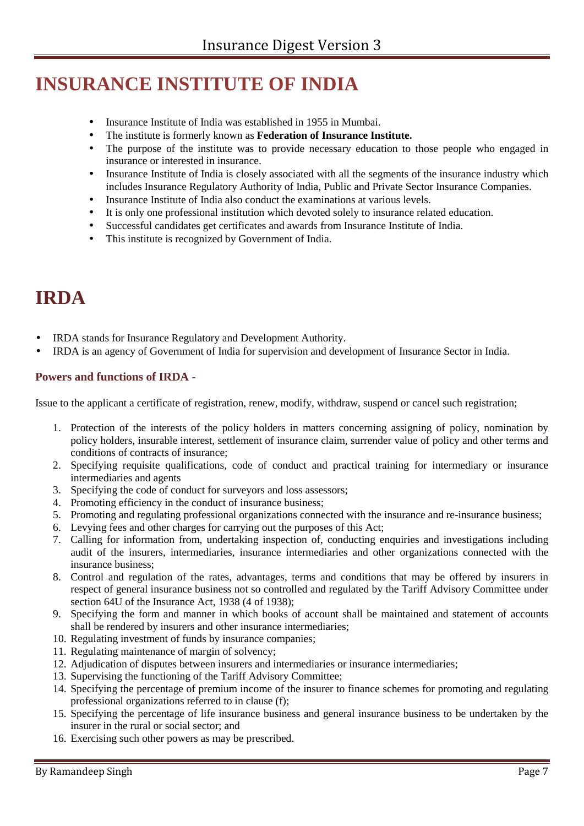# **INSURANCE INSTITUTE OF INDIA**

- Insurance Institute of India was established in 1955 in Mumbai.
- The institute is formerly known as **Federation of Insurance Institute.**
- The purpose of the institute was to provide necessary education to those people who engaged in insurance or interested in insurance.
- Insurance Institute of India is closely associated with all the segments of the insurance industry which includes Insurance Regulatory Authority of India, Public and Private Sector Insurance Companies.
- Insurance Institute of India also conduct the examinations at various levels.
- It is only one professional institution which devoted solely to insurance related education.
- Successful candidates get certificates and awards from Insurance Institute of India.
- This institute is recognized by Government of India.

# **IRDA**

- IRDA stands for Insurance Regulatory and Development Authority.
- IRDA is an agency of Government of India for supervision and development of Insurance Sector in India.

#### **Powers and functions of IRDA -**

Issue to the applicant a certificate of registration, renew, modify, withdraw, suspend or cancel such registration;

- 1. Protection of the interests of the policy holders in matters concerning assigning of policy, nomination by policy holders, insurable interest, settlement of insurance claim, surrender value of policy and other terms and conditions of contracts of insurance;
- 2. Specifying requisite qualifications, code of conduct and practical training for intermediary or insurance intermediaries and agents
- 3. Specifying the code of conduct for surveyors and loss assessors;
- 4. Promoting efficiency in the conduct of insurance business;
- 5. Promoting and regulating professional organizations connected with the insurance and re-insurance business;
- 6. Levying fees and other charges for carrying out the purposes of this Act;
- 7. Calling for information from, undertaking inspection of, conducting enquiries and investigations including audit of the insurers, intermediaries, insurance intermediaries and other organizations connected with the insurance business;
- 8. Control and regulation of the rates, advantages, terms and conditions that may be offered by insurers in respect of general insurance business not so controlled and regulated by the Tariff Advisory Committee under section 64U of the Insurance Act, 1938 (4 of 1938);
- 9. Specifying the form and manner in which books of account shall be maintained and statement of accounts shall be rendered by insurers and other insurance intermediaries;
- 10. Regulating investment of funds by insurance companies;
- 11. Regulating maintenance of margin of solvency;
- 12. Adjudication of disputes between insurers and intermediaries or insurance intermediaries;
- 13. Supervising the functioning of the Tariff Advisory Committee;
- 14. Specifying the percentage of premium income of the insurer to finance schemes for promoting and regulating professional organizations referred to in clause (f);
- 15. Specifying the percentage of life insurance business and general insurance business to be undertaken by the insurer in the rural or social sector; and
- 16. Exercising such other powers as may be prescribed.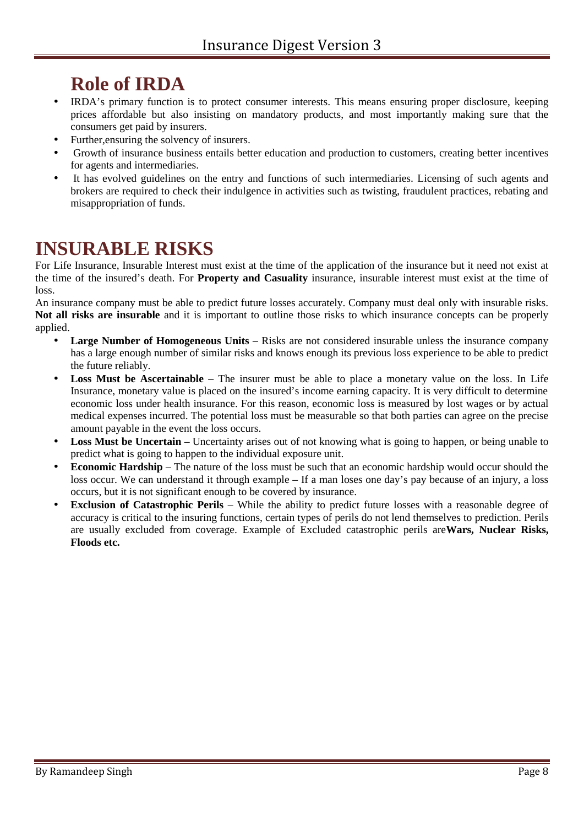# **Role of IRDA**

- IRDA's primary function is to protect consumer interests. This means ensuring proper disclosure, keeping prices affordable but also insisting on mandatory products, and most importantly making sure that the consumers get paid by insurers.
- Further,ensuring the solvency of insurers.
- Growth of insurance business entails better education and production to customers, creating better incentives for agents and intermediaries.
- It has evolved guidelines on the entry and functions of such intermediaries. Licensing of such agents and brokers are required to check their indulgence in activities such as twisting, fraudulent practices, rebating and misappropriation of funds.

# **INSURABLE RISKS**

For Life Insurance, Insurable Interest must exist at the time of the application of the insurance but it need not exist at the time of the insured's death. For **Property and Casuality** insurance, insurable interest must exist at the time of loss.

An insurance company must be able to predict future losses accurately. Company must deal only with insurable risks. **Not all risks are insurable** and it is important to outline those risks to which insurance concepts can be properly applied.

- **Large Number of Homogeneous Units** Risks are not considered insurable unless the insurance company has a large enough number of similar risks and knows enough its previous loss experience to be able to predict the future reliably.
- **Loss Must be Ascertainable** The insurer must be able to place a monetary value on the loss. In Life Insurance, monetary value is placed on the insured's income earning capacity. It is very difficult to determine economic loss under health insurance. For this reason, economic loss is measured by lost wages or by actual medical expenses incurred. The potential loss must be measurable so that both parties can agree on the precise amount payable in the event the loss occurs.
- Loss Must be Uncertain Uncertainty arises out of not knowing what is going to happen, or being unable to predict what is going to happen to the individual exposure unit.
- **Economic Hardship** The nature of the loss must be such that an economic hardship would occur should the loss occur. We can understand it through example – If a man loses one day's pay because of an injury, a loss occurs, but it is not significant enough to be covered by insurance.
- **Exclusion of Catastrophic Perils** While the ability to predict future losses with a reasonable degree of accuracy is critical to the insuring functions, certain types of perils do not lend themselves to prediction. Perils are usually excluded from coverage. Example of Excluded catastrophic perils are**Wars, Nuclear Risks, Floods etc.**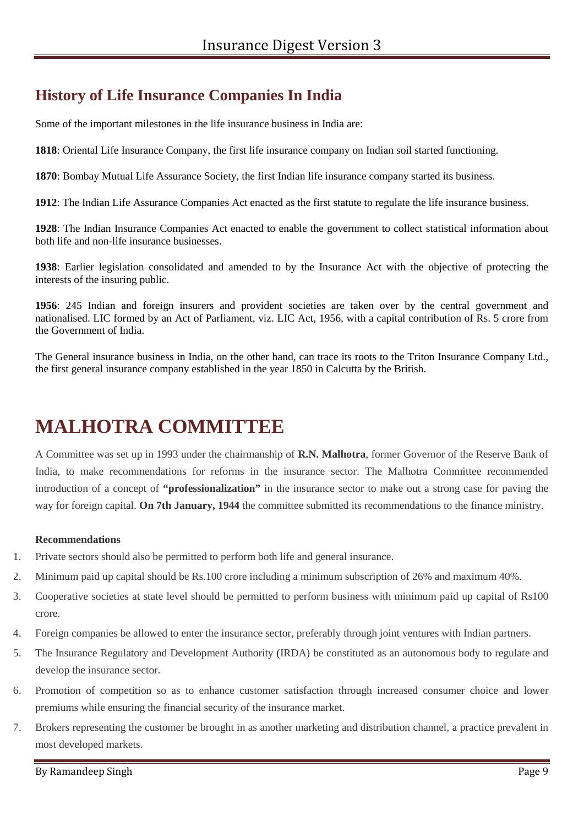# **History of Life Insurance Companies In India**

Some of the important milestones in the life insurance business in India are:

**1818**: Oriental Life Insurance Company, the first life insurance company on Indian soil started functioning.

**1870**: Bombay Mutual Life Assurance Society, the first Indian life insurance company started its business.

**1912**: The Indian Life Assurance Companies Act enacted as the first statute to regulate the life insurance business.

**1928**: The Indian Insurance Companies Act enacted to enable the government to collect statistical information about both life and non-life insurance businesses.

**1938**: Earlier legislation consolidated and amended to by the Insurance Act with the objective of protecting the interests of the insuring public.

**1956**: 245 Indian and foreign insurers and provident societies are taken over by the central government and nationalised. LIC formed by an Act of Parliament, viz. LIC Act, 1956, with a capital contribution of Rs. 5 crore from the Government of India.

The General insurance business in India, on the other hand, can trace its roots to the Triton Insurance Company Ltd., the first general insurance company established in the year 1850 in Calcutta by the British.

# **MALHOTRA COMMITTEE**

A Committee was set up in 1993 under the chairmanship of **R.N. Malhotra**, former Governor of the Reserve Bank of India, to make recommendations for reforms in the insurance sector. The Malhotra Committee recommended introduction of a concept of **"professionalization"** in the insurance sector to make out a strong case for paving the way for foreign capital. **On 7th January, 1944** the committee submitted its recommendations to the finance ministry.

#### **Recommendations**

- 1. Private sectors should also be permitted to perform both life and general insurance.
- 2. Minimum paid up capital should be Rs.100 crore including a minimum subscription of 26% and maximum 40%.
- 3. Cooperative societies at state level should be permitted to perform business with minimum paid up capital of Rs100 crore.
- 4. Foreign companies be allowed to enter the insurance sector, preferably through joint ventures with Indian partners.
- 5. The Insurance Regulatory and Development Authority (IRDA) be constituted as an autonomous body to regulate and develop the insurance sector.
- 6. Promotion of competition so as to enhance customer satisfaction through increased consumer choice and lower premiums while ensuring the financial security of the insurance market.
- 7. Brokers representing the customer be brought in as another marketing and distribution channel, a practice prevalent in most developed markets.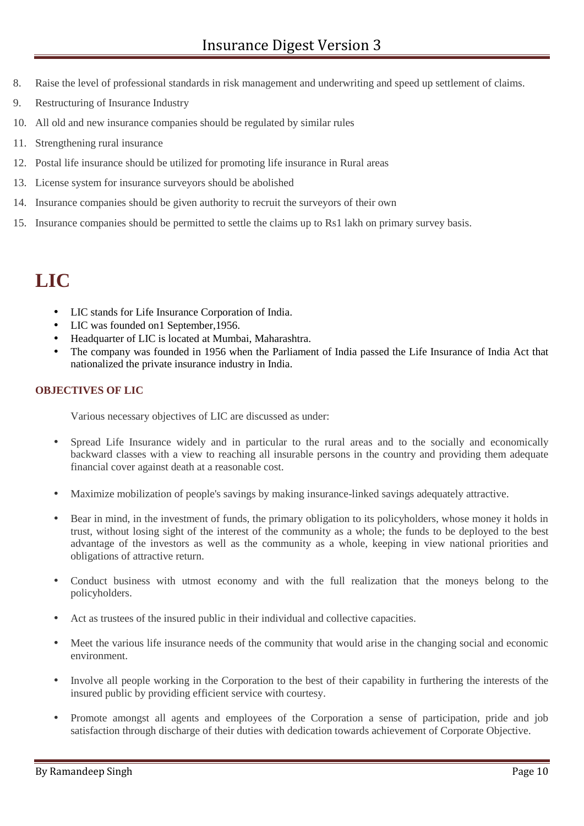- 8. Raise the level of professional standards in risk management and underwriting and speed up settlement of claims.
- 9. Restructuring of Insurance Industry
- 10. All old and new insurance companies should be regulated by similar rules
- 11. Strengthening rural insurance
- 12. Postal life insurance should be utilized for promoting life insurance in Rural areas
- 13. License system for insurance surveyors should be abolished
- 14. Insurance companies should be given authority to recruit the surveyors of their own
- 15. Insurance companies should be permitted to settle the claims up to Rs1 lakh on primary survey basis.

# **LIC**

- LIC stands for Life Insurance Corporation of India.
- LIC was founded on1 September, 1956.
- Headquarter of LIC is located at Mumbai, Maharashtra.
- The company was founded in 1956 when the Parliament of India passed the Life Insurance of India Act that nationalized the private insurance industry in India.

#### **OBJECTIVES OF LIC**

Various necessary objectives of LIC are discussed as under:

- Spread Life Insurance widely and in particular to the rural areas and to the socially and economically backward classes with a view to reaching all insurable persons in the country and providing them adequate financial cover against death at a reasonable cost.
- Maximize mobilization of people's savings by making insurance-linked savings adequately attractive.
- Bear in mind, in the investment of funds, the primary obligation to its policyholders, whose money it holds in trust, without losing sight of the interest of the community as a whole; the funds to be deployed to the best advantage of the investors as well as the community as a whole, keeping in view national priorities and obligations of attractive return.
- Conduct business with utmost economy and with the full realization that the moneys belong to the policyholders.
- Act as trustees of the insured public in their individual and collective capacities.
- Meet the various life insurance needs of the community that would arise in the changing social and economic environment.
- Involve all people working in the Corporation to the best of their capability in furthering the interests of the insured public by providing efficient service with courtesy.
- Promote amongst all agents and employees of the Corporation a sense of participation, pride and job satisfaction through discharge of their duties with dedication towards achievement of Corporate Objective.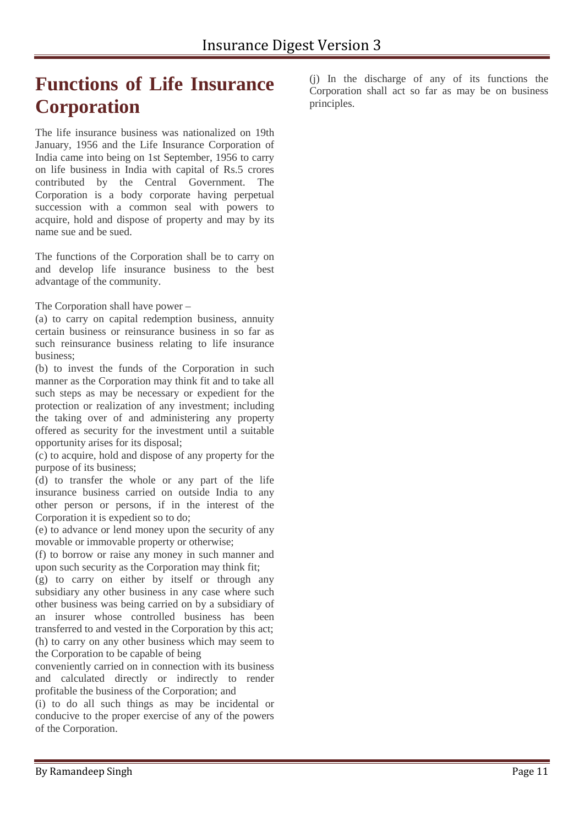# **Functions of Life Insurance Corporation**

The life insurance business was nationalized on 19th January, 1956 and the Life Insurance Corporation of India came into being on 1st September, 1956 to carry on life business in India with capital of Rs.5 crores contributed by the Central Government. The Corporation is a body corporate having perpetual succession with a common seal with powers to acquire, hold and dispose of property and may by its name sue and be sued.

The functions of the Corporation shall be to carry on and develop life insurance business to the best advantage of the community.

The Corporation shall have power –

(a) to carry on capital redemption business, annuity certain business or reinsurance business in so far as such reinsurance business relating to life insurance business;

(b) to invest the funds of the Corporation in such manner as the Corporation may think fit and to take all such steps as may be necessary or expedient for the protection or realization of any investment; including the taking over of and administering any property offered as security for the investment until a suitable opportunity arises for its disposal;

(c) to acquire, hold and dispose of any property for the purpose of its business;

(d) to transfer the whole or any part of the life insurance business carried on outside India to any other person or persons, if in the interest of the Corporation it is expedient so to do;

(e) to advance or lend money upon the security of any movable or immovable property or otherwise;

(f) to borrow or raise any money in such manner and upon such security as the Corporation may think fit;

(g) to carry on either by itself or through any subsidiary any other business in any case where such other business was being carried on by a subsidiary of an insurer whose controlled business has been transferred to and vested in the Corporation by this act; (h) to carry on any other business which may seem to the Corporation to be capable of being

conveniently carried on in connection with its business and calculated directly or indirectly to render profitable the business of the Corporation; and

(i) to do all such things as may be incidental or conducive to the proper exercise of any of the powers of the Corporation.

(j) In the discharge of any of its functions the Corporation shall act so far as may be on business principles.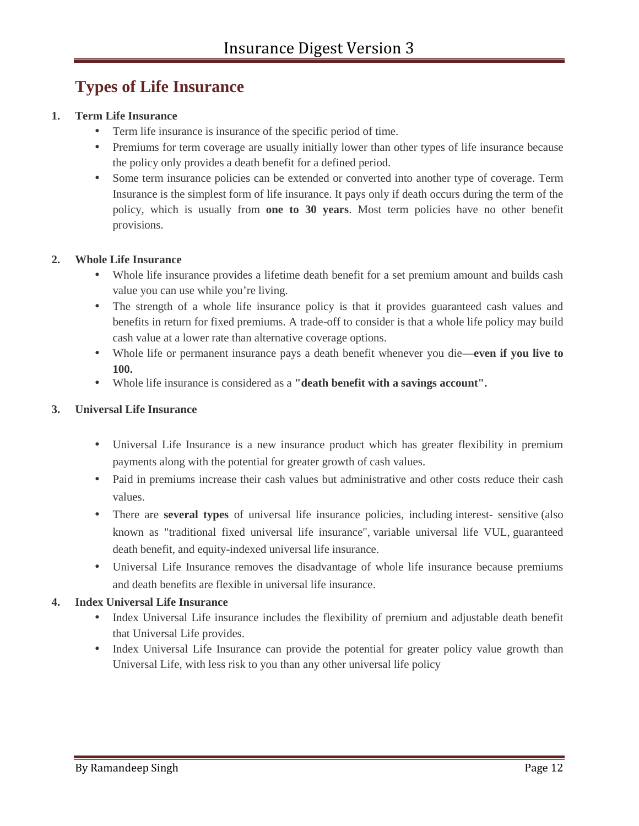### **Types of Life Insurance**

#### **1. Term Life Insurance**

- Term life insurance is insurance of the specific period of time.
- Premiums for term coverage are usually initially lower than other types of life insurance because the policy only provides a death benefit for a defined period.
- Some term insurance policies can be extended or converted into another type of coverage. Term Insurance is the simplest form of life insurance. It pays only if death occurs during the term of the policy, which is usually from **one to 30 years**. Most term policies have no other benefit provisions.

#### **2. Whole Life Insurance**

- Whole life insurance provides a lifetime death benefit for a set premium amount and builds cash value you can use while you're living.
- The strength of a whole life insurance policy is that it provides guaranteed cash values and benefits in return for fixed premiums. A trade-off to consider is that a whole life policy may build cash value at a lower rate than alternative coverage options.
- Whole life or permanent insurance pays a death benefit whenever you die—**even if you live to 100.**
- Whole life insurance is considered as a **"death benefit with a savings account".**

#### **3. Universal Life Insurance**

- Universal Life Insurance is a new insurance product which has greater flexibility in premium payments along with the potential for greater growth of cash values.
- Paid in premiums increase their cash values but administrative and other costs reduce their cash values.
- There are **several types** of universal life insurance policies, including interest- sensitive (also known as "traditional fixed universal life insurance", variable universal life VUL, guaranteed death benefit, and equity-indexed universal life insurance.
- Universal Life Insurance removes the disadvantage of whole life insurance because premiums and death benefits are flexible in universal life insurance.

#### **4. Index Universal Life Insurance**

- Index Universal Life insurance includes the flexibility of premium and adjustable death benefit that Universal Life provides.
- Index Universal Life Insurance can provide the potential for greater policy value growth than Universal Life, with less risk to you than any other universal life policy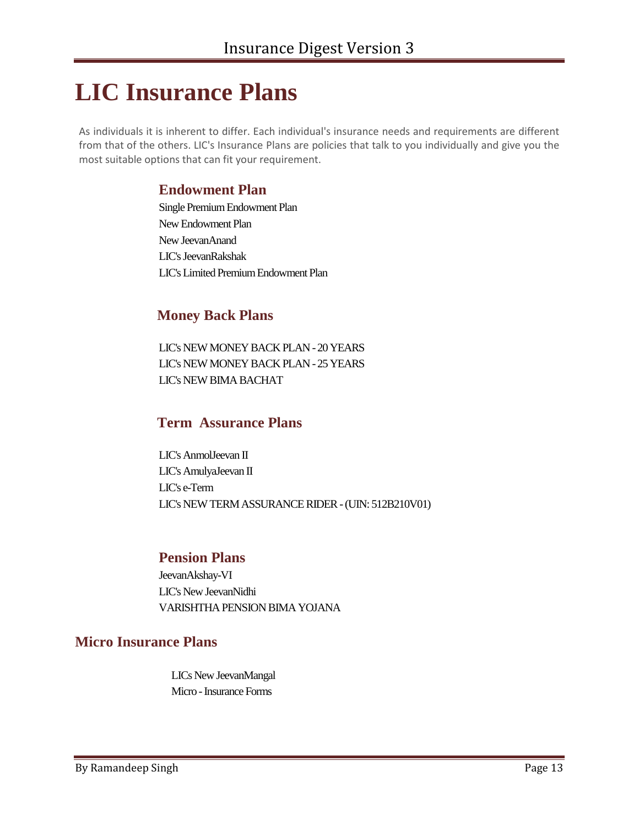# **LIC Insurance Plans**

As individuals it is inherent to differ. Each individual's insurance needs and requirements are different from that of the others. LIC's Insurance Plans are policies that talk to you individually and give you the most suitable options that can fit your requirement.

#### **Endowment Plan**

Single Premium Endowment Plan New Endowment Plan New JeevanAnand LIC's JeevanRakshak LIC's Limited Premium Endowment Plan

### **Money Back Plans**

LIC's NEW MONEY BACK PLAN-20 YEARS LIC's NEW MONEY BACK PLAN-25 YEARS LIC's NEW BIMA BACHAT

### **Term Assurance Plans**

LIC's AnmolJeevan II LIC's AmulyaJeevan II LIC's e-Term LIC's NEW TERMASSURANCE RIDER-(UIN: 512B210V01)

#### **Pension Plans**

JeevanAkshay-VI LIC's New JeevanNidhi VARISHTHA PENSION BIMA YOJANA

### **Micro Insurance Plans**

LICs New JeevanMangal Micro - Insurance Forms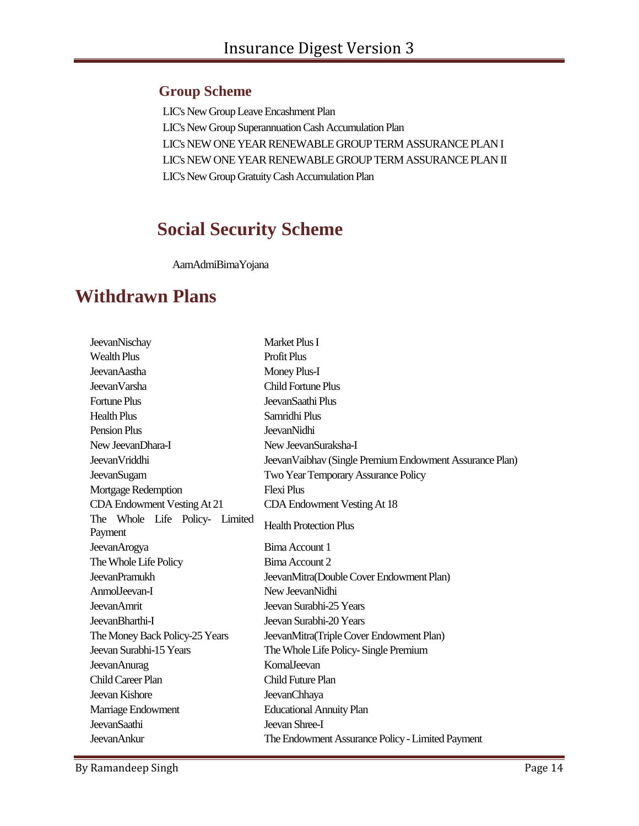#### **Group Scheme**

LIC's NewGroup Leave Encashment Plan LIC's New Group Superannuation Cash Accumulation Plan LIC's NEW ONE YEAR RENEWABLE GROUP TERM ASSURANCE PLAN I LIC's NEW ONE YEAR RENEWABLE GROUP TERM ASSURANCE PLAN II LIC's New Group Gratuity Cash Accumulation Plan

# **Social Security Scheme**

AamAdmiBimaYojana

# **Withdrawn Plans**

| JeevanNischay                             | Market Plus I                                            |
|-------------------------------------------|----------------------------------------------------------|
| <b>Wealth Plus</b>                        | Profit Plus                                              |
| JeevanAastha                              | Money Plus-I                                             |
| JeevanVarsha                              | <b>Child Fortune Plus</b>                                |
| <b>Fortune Plus</b>                       | JeevanSaathi Plus                                        |
| <b>Health Plus</b>                        | Samridhi Plus                                            |
| <b>Pension Plus</b>                       | <b>JeevanNidhi</b>                                       |
| New Jeevan Dhara-I                        | New JeevanSuraksha-I                                     |
| <b>JeevanVriddhi</b>                      | Jeevan Vaibhav (Single Premium Endowment Assurance Plan) |
| <b>JeevanSugam</b>                        | Two Year Temporary Assurance Policy                      |
| Mortgage Redemption                       | <b>Flexi Plus</b>                                        |
| CDA Endowment Vesting At 21               | CDA Endowment Vesting At 18                              |
| The Whole Life Policy- Limited<br>Payment | <b>Health Protection Plus</b>                            |
| JeevanArogya                              | Bima Account 1                                           |
| The Whole Life Policy                     | Bima Account 2                                           |
| <b>JeevanPramukh</b>                      | JeevanMitra(Double Cover Endowment Plan)                 |
| AnmolJeevan-I                             | New Jeevan Nidhi                                         |
| <b>JeevanAmrit</b>                        | Jeevan Surabhi-25 Years                                  |
| JeevanBharthi-I                           | Jeevan Surabhi-20 Years                                  |
| The Money Back Policy-25 Years            | JeevanMitra(Triple Cover Endowment Plan)                 |
| Jeevan Surabhi-15 Years                   | The Whole Life Policy-Single Premium                     |
| <b>JeevanAnurag</b>                       | <b>KomalJeevan</b>                                       |
| <b>Child Career Plan</b>                  | <b>Child Future Plan</b>                                 |
| Jeevan Kishore                            | <b>JeevanChhaya</b>                                      |
| Marriage Endowment                        | <b>Educational Annuity Plan</b>                          |
| JeevanSaathi                              | Jeevan Shree-I                                           |
| <b>JeevanAnkur</b>                        | The Endowment Assurance Policy - Limited Payment         |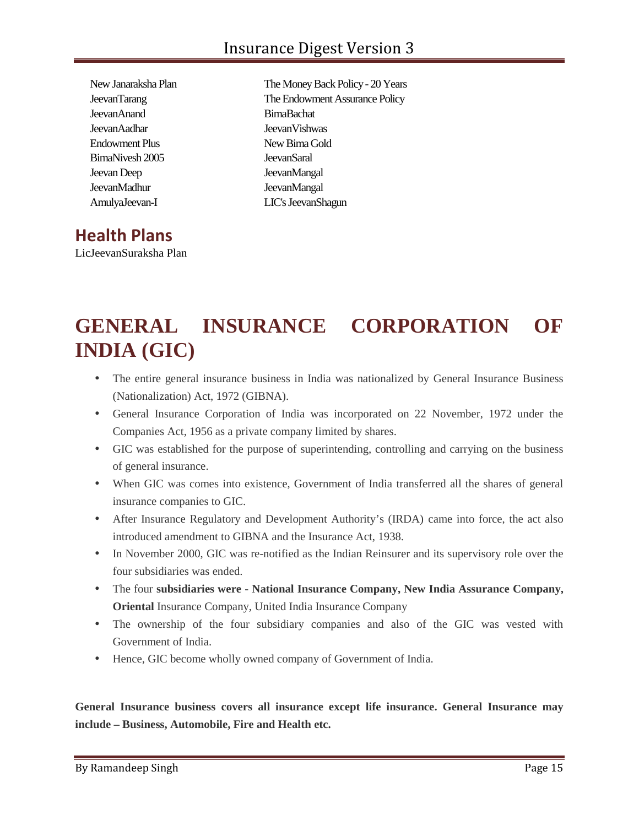| New Janaraksha Plan |
|---------------------|
| <b>JeevanTarang</b> |
| JeevanAnand         |
| <b>JeevanAadhar</b> |
| Endowment Plus      |
| BimaNivesh 2005     |
| Jeevan Deep         |
| JeevanMadhur        |
| AmulyaJeevan-I      |

The Money Back Policy - 20 Years The Endowment Assurance Policy BimaBachat Jeevan Vishwas New Bima Gold JeevanSaral JeevanMangal JeevanMangal LIC's JeevanShagun

# **Health Plans**

LicJeevanSuraksha Plan

# **GENERAL INSURANCE CORPORATION OF INDIA (GIC)**

- The entire general insurance business in India was nationalized by General Insurance Business (Nationalization) Act, 1972 (GIBNA).
- General Insurance Corporation of India was incorporated on 22 November, 1972 under the Companies Act, 1956 as a private company limited by shares.
- GIC was established for the purpose of superintending, controlling and carrying on the business of general insurance.
- When GIC was comes into existence, Government of India transferred all the shares of general insurance companies to GIC.
- After Insurance Regulatory and Development Authority's (IRDA) came into force, the act also introduced amendment to GIBNA and the Insurance Act, 1938.
- In November 2000, GIC was re-notified as the Indian Reinsurer and its supervisory role over the four subsidiaries was ended.
- The four **subsidiaries were - National Insurance Company, New India Assurance Company, Oriental** Insurance Company, United India Insurance Company
- The ownership of the four subsidiary companies and also of the GIC was vested with Government of India.
- Hence, GIC become wholly owned company of Government of India.

**General Insurance business covers all insurance except life insurance. General Insurance may include – Business, Automobile, Fire and Health etc.**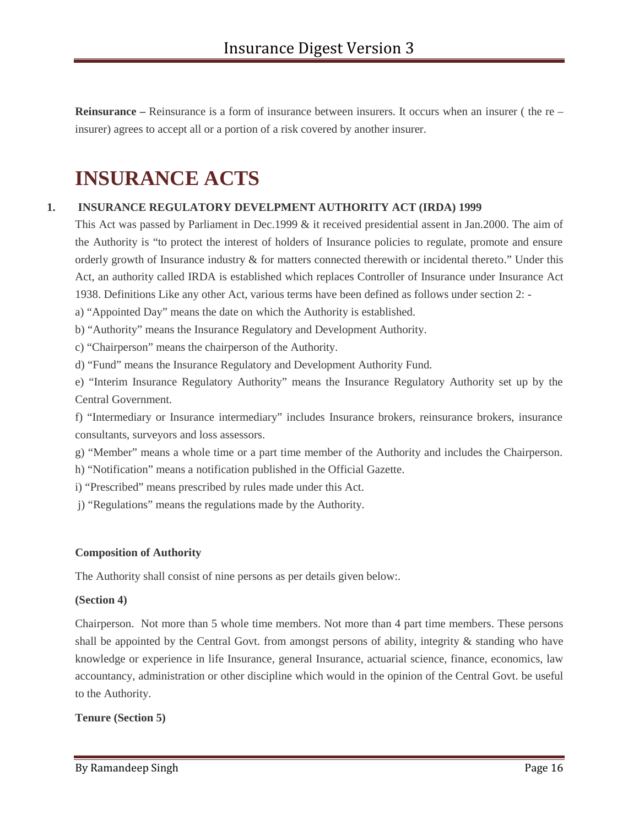**Reinsurance** – Reinsurance is a form of insurance between insurers. It occurs when an insurer (the re insurer) agrees to accept all or a portion of a risk covered by another insurer.

# **INSURANCE ACTS**

#### **1. INSURANCE REGULATORY DEVELPMENT AUTHORITY ACT (IRDA) 1999**

This Act was passed by Parliament in Dec.1999 & it received presidential assent in Jan.2000. The aim of the Authority is "to protect the interest of holders of Insurance policies to regulate, promote and ensure orderly growth of Insurance industry & for matters connected therewith or incidental thereto." Under this Act, an authority called IRDA is established which replaces Controller of Insurance under Insurance Act 1938. Definitions Like any other Act, various terms have been defined as follows under section 2: -

a) "Appointed Day" means the date on which the Authority is established.

b) "Authority" means the Insurance Regulatory and Development Authority.

c) "Chairperson" means the chairperson of the Authority.

d) "Fund" means the Insurance Regulatory and Development Authority Fund.

e) "Interim Insurance Regulatory Authority" means the Insurance Regulatory Authority set up by the Central Government.

f) "Intermediary or Insurance intermediary" includes Insurance brokers, reinsurance brokers, insurance consultants, surveyors and loss assessors.

g) "Member" means a whole time or a part time member of the Authority and includes the Chairperson.

h) "Notification" means a notification published in the Official Gazette.

i) "Prescribed" means prescribed by rules made under this Act.

j) "Regulations" means the regulations made by the Authority.

#### **Composition of Authority**

The Authority shall consist of nine persons as per details given below:.

#### **(Section 4)**

Chairperson. Not more than 5 whole time members. Not more than 4 part time members. These persons shall be appointed by the Central Govt. from amongst persons of ability, integrity & standing who have knowledge or experience in life Insurance, general Insurance, actuarial science, finance, economics, law accountancy, administration or other discipline which would in the opinion of the Central Govt. be useful to the Authority.

#### **Tenure (Section 5)**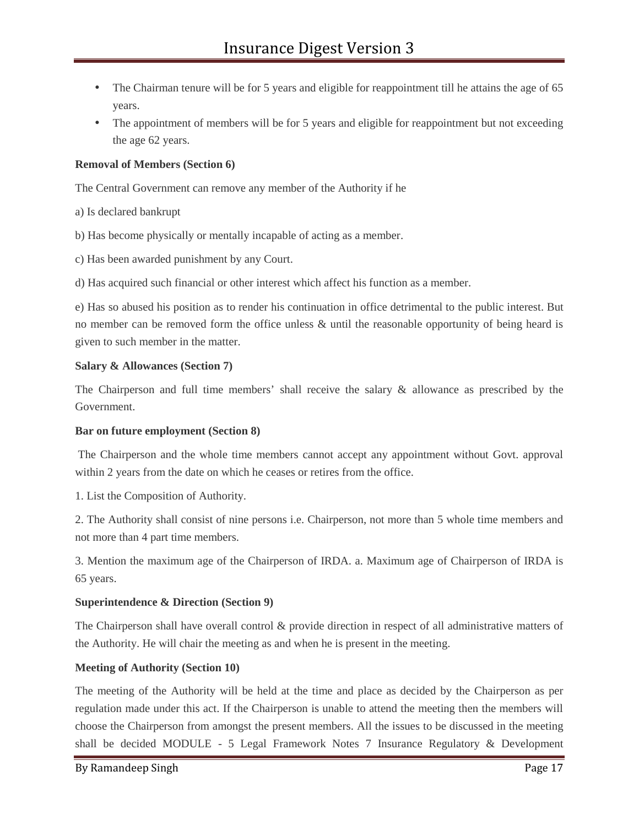- The Chairman tenure will be for 5 years and eligible for reappointment till he attains the age of 65 years.
- The appointment of members will be for 5 years and eligible for reappointment but not exceeding the age 62 years.

#### **Removal of Members (Section 6)**

The Central Government can remove any member of the Authority if he

- a) Is declared bankrupt
- b) Has become physically or mentally incapable of acting as a member.
- c) Has been awarded punishment by any Court.

d) Has acquired such financial or other interest which affect his function as a member.

e) Has so abused his position as to render his continuation in office detrimental to the public interest. But no member can be removed form the office unless & until the reasonable opportunity of being heard is given to such member in the matter.

#### **Salary & Allowances (Section 7)**

The Chairperson and full time members' shall receive the salary & allowance as prescribed by the Government.

#### **Bar on future employment (Section 8)**

The Chairperson and the whole time members cannot accept any appointment without Govt. approval within 2 years from the date on which he ceases or retires from the office.

1. List the Composition of Authority.

2. The Authority shall consist of nine persons i.e. Chairperson, not more than 5 whole time members and not more than 4 part time members.

3. Mention the maximum age of the Chairperson of IRDA. a. Maximum age of Chairperson of IRDA is 65 years.

#### **Superintendence & Direction (Section 9)**

The Chairperson shall have overall control & provide direction in respect of all administrative matters of the Authority. He will chair the meeting as and when he is present in the meeting.

#### **Meeting of Authority (Section 10)**

The meeting of the Authority will be held at the time and place as decided by the Chairperson as per regulation made under this act. If the Chairperson is unable to attend the meeting then the members will choose the Chairperson from amongst the present members. All the issues to be discussed in the meeting shall be decided MODULE - 5 Legal Framework Notes 7 Insurance Regulatory & Development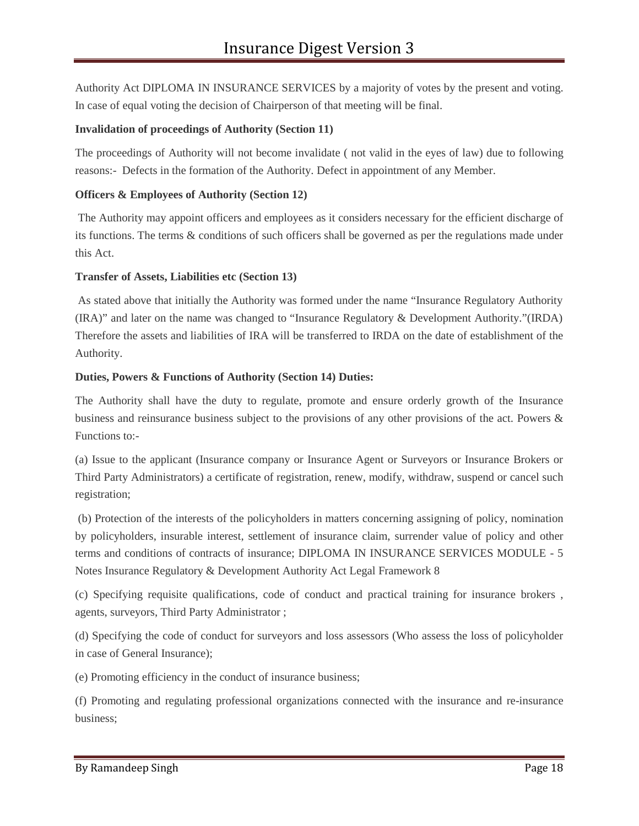Authority Act DIPLOMA IN INSURANCE SERVICES by a majority of votes by the present and voting. In case of equal voting the decision of Chairperson of that meeting will be final.

#### **Invalidation of proceedings of Authority (Section 11)**

The proceedings of Authority will not become invalidate ( not valid in the eyes of law) due to following reasons:- Defects in the formation of the Authority. Defect in appointment of any Member.

#### **Officers & Employees of Authority (Section 12)**

The Authority may appoint officers and employees as it considers necessary for the efficient discharge of its functions. The terms & conditions of such officers shall be governed as per the regulations made under this Act.

#### **Transfer of Assets, Liabilities etc (Section 13)**

As stated above that initially the Authority was formed under the name "Insurance Regulatory Authority (IRA)" and later on the name was changed to "Insurance Regulatory & Development Authority."(IRDA) Therefore the assets and liabilities of IRA will be transferred to IRDA on the date of establishment of the Authority.

#### **Duties, Powers & Functions of Authority (Section 14) Duties:**

The Authority shall have the duty to regulate, promote and ensure orderly growth of the Insurance business and reinsurance business subject to the provisions of any other provisions of the act. Powers & Functions to:-

(a) Issue to the applicant (Insurance company or Insurance Agent or Surveyors or Insurance Brokers or Third Party Administrators) a certificate of registration, renew, modify, withdraw, suspend or cancel such registration;

(b) Protection of the interests of the policyholders in matters concerning assigning of policy, nomination by policyholders, insurable interest, settlement of insurance claim, surrender value of policy and other terms and conditions of contracts of insurance; DIPLOMA IN INSURANCE SERVICES MODULE - 5 Notes Insurance Regulatory & Development Authority Act Legal Framework 8

(c) Specifying requisite qualifications, code of conduct and practical training for insurance brokers , agents, surveyors, Third Party Administrator ;

(d) Specifying the code of conduct for surveyors and loss assessors (Who assess the loss of policyholder in case of General Insurance);

(e) Promoting efficiency in the conduct of insurance business;

(f) Promoting and regulating professional organizations connected with the insurance and re-insurance business;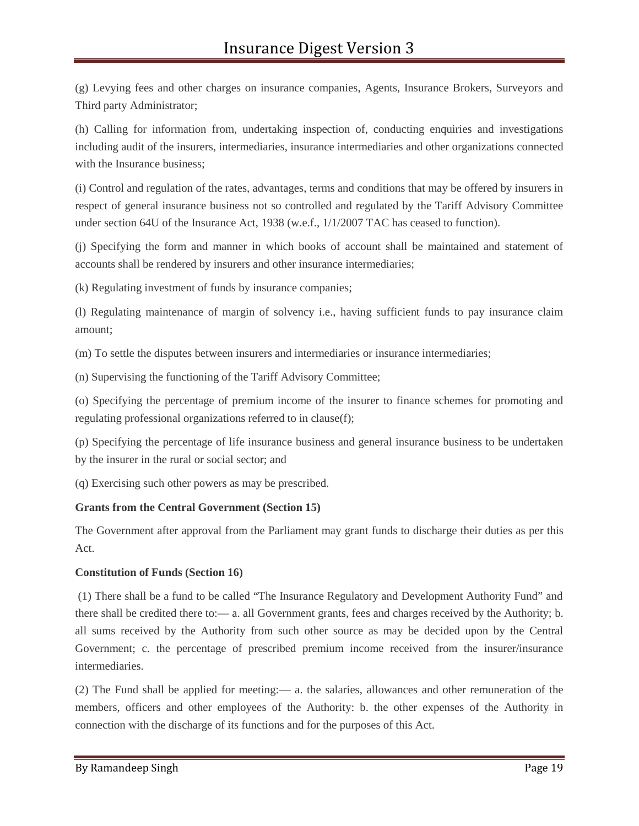(g) Levying fees and other charges on insurance companies, Agents, Insurance Brokers, Surveyors and Third party Administrator;

(h) Calling for information from, undertaking inspection of, conducting enquiries and investigations including audit of the insurers, intermediaries, insurance intermediaries and other organizations connected with the Insurance business;

(i) Control and regulation of the rates, advantages, terms and conditions that may be offered by insurers in respect of general insurance business not so controlled and regulated by the Tariff Advisory Committee under section 64U of the Insurance Act, 1938 (w.e.f., 1/1/2007 TAC has ceased to function).

(j) Specifying the form and manner in which books of account shall be maintained and statement of accounts shall be rendered by insurers and other insurance intermediaries;

(k) Regulating investment of funds by insurance companies;

(l) Regulating maintenance of margin of solvency i.e., having sufficient funds to pay insurance claim amount;

(m) To settle the disputes between insurers and intermediaries or insurance intermediaries;

(n) Supervising the functioning of the Tariff Advisory Committee;

(o) Specifying the percentage of premium income of the insurer to finance schemes for promoting and regulating professional organizations referred to in clause(f);

(p) Specifying the percentage of life insurance business and general insurance business to be undertaken by the insurer in the rural or social sector; and

(q) Exercising such other powers as may be prescribed.

#### **Grants from the Central Government (Section 15)**

The Government after approval from the Parliament may grant funds to discharge their duties as per this Act.

#### **Constitution of Funds (Section 16)**

(1) There shall be a fund to be called "The Insurance Regulatory and Development Authority Fund" and there shall be credited there to:— a. all Government grants, fees and charges received by the Authority; b. all sums received by the Authority from such other source as may be decided upon by the Central Government; c. the percentage of prescribed premium income received from the insurer/insurance intermediaries.

(2) The Fund shall be applied for meeting:— a. the salaries, allowances and other remuneration of the members, officers and other employees of the Authority: b. the other expenses of the Authority in connection with the discharge of its functions and for the purposes of this Act.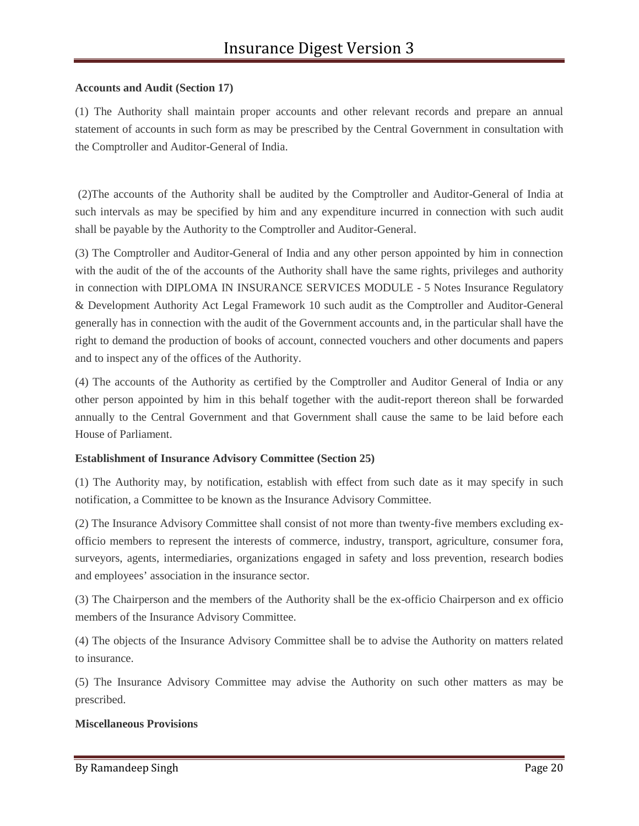#### **Accounts and Audit (Section 17)**

(1) The Authority shall maintain proper accounts and other relevant records and prepare an annual statement of accounts in such form as may be prescribed by the Central Government in consultation with the Comptroller and Auditor-General of India.

(2)The accounts of the Authority shall be audited by the Comptroller and Auditor-General of India at such intervals as may be specified by him and any expenditure incurred in connection with such audit shall be payable by the Authority to the Comptroller and Auditor-General.

(3) The Comptroller and Auditor-General of India and any other person appointed by him in connection with the audit of the of the accounts of the Authority shall have the same rights, privileges and authority in connection with DIPLOMA IN INSURANCE SERVICES MODULE - 5 Notes Insurance Regulatory & Development Authority Act Legal Framework 10 such audit as the Comptroller and Auditor-General generally has in connection with the audit of the Government accounts and, in the particular shall have the right to demand the production of books of account, connected vouchers and other documents and papers and to inspect any of the offices of the Authority.

(4) The accounts of the Authority as certified by the Comptroller and Auditor General of India or any other person appointed by him in this behalf together with the audit-report thereon shall be forwarded annually to the Central Government and that Government shall cause the same to be laid before each House of Parliament.

#### **Establishment of Insurance Advisory Committee (Section 25)**

(1) The Authority may, by notification, establish with effect from such date as it may specify in such notification, a Committee to be known as the Insurance Advisory Committee.

(2) The Insurance Advisory Committee shall consist of not more than twenty-five members excluding ex officio members to represent the interests of commerce, industry, transport, agriculture, consumer fora, surveyors, agents, intermediaries, organizations engaged in safety and loss prevention, research bodies and employees' association in the insurance sector.

(3) The Chairperson and the members of the Authority shall be the ex-officio Chairperson and ex officio members of the Insurance Advisory Committee.

(4) The objects of the Insurance Advisory Committee shall be to advise the Authority on matters related to insurance.

(5) The Insurance Advisory Committee may advise the Authority on such other matters as may be prescribed.

#### **Miscellaneous Provisions**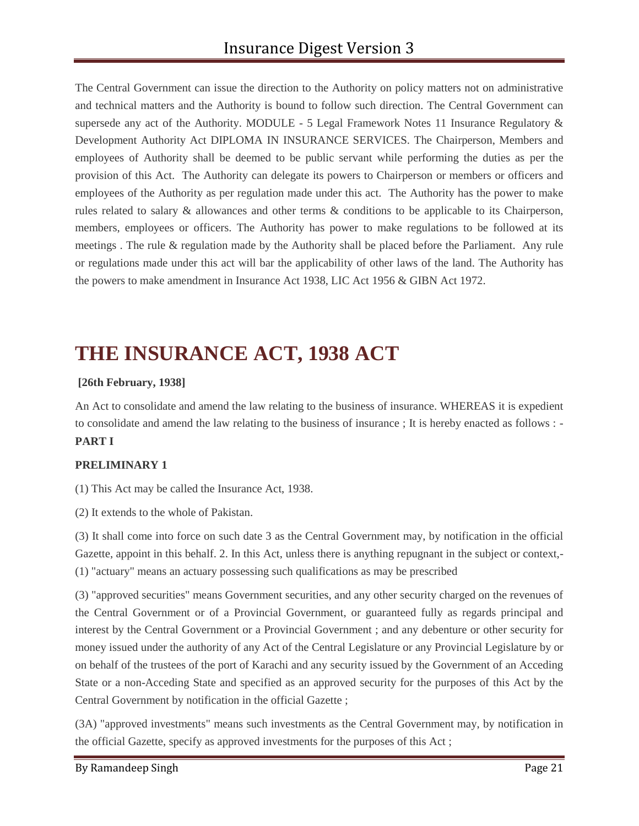The Central Government can issue the direction to the Authority on policy matters not on administrative and technical matters and the Authority is bound to follow such direction. The Central Government can supersede any act of the Authority. MODULE - 5 Legal Framework Notes 11 Insurance Regulatory & Development Authority Act DIPLOMA IN INSURANCE SERVICES. The Chairperson, Members and employees of Authority shall be deemed to be public servant while performing the duties as per the provision of this Act. The Authority can delegate its powers to Chairperson or members or officers and employees of the Authority as per regulation made under this act. The Authority has the power to make rules related to salary & allowances and other terms & conditions to be applicable to its Chairperson, members, employees or officers. The Authority has power to make regulations to be followed at its meetings . The rule & regulation made by the Authority shall be placed before the Parliament. Any rule or regulations made under this act will bar the applicability of other laws of the land. The Authority has the powers to make amendment in Insurance Act 1938, LIC Act 1956 & GIBN Act 1972.

# **THE INSURANCE ACT, 1938 ACT**

#### **[26th February, 1938]**

An Act to consolidate and amend the law relating to the business of insurance. WHEREAS it is expedient to consolidate and amend the law relating to the business of insurance ; It is hereby enacted as follows : - **PART I**

#### **PRELIMINARY 1**

(1) This Act may be called the Insurance Act, 1938.

(2) It extends to the whole of Pakistan.

(3) It shall come into force on such date 3 as the Central Government may, by notification in the official Gazette, appoint in this behalf. 2. In this Act, unless there is anything repugnant in the subject or context,- (1) "actuary" means an actuary possessing such qualifications as may be prescribed

(3) "approved securities" means Government securities, and any other security charged on the revenues of the Central Government or of a Provincial Government, or guaranteed fully as regards principal and interest by the Central Government or a Provincial Government ; and any debenture or other security for money issued under the authority of any Act of the Central Legislature or any Provincial Legislature by or on behalf of the trustees of the port of Karachi and any security issued by the Government of an Acceding State or a non-Acceding State and specified as an approved security for the purposes of this Act by the Central Government by notification in the official Gazette ;

(3A) "approved investments" means such investments as the Central Government may, by notification in the official Gazette, specify as approved investments for the purposes of this Act ;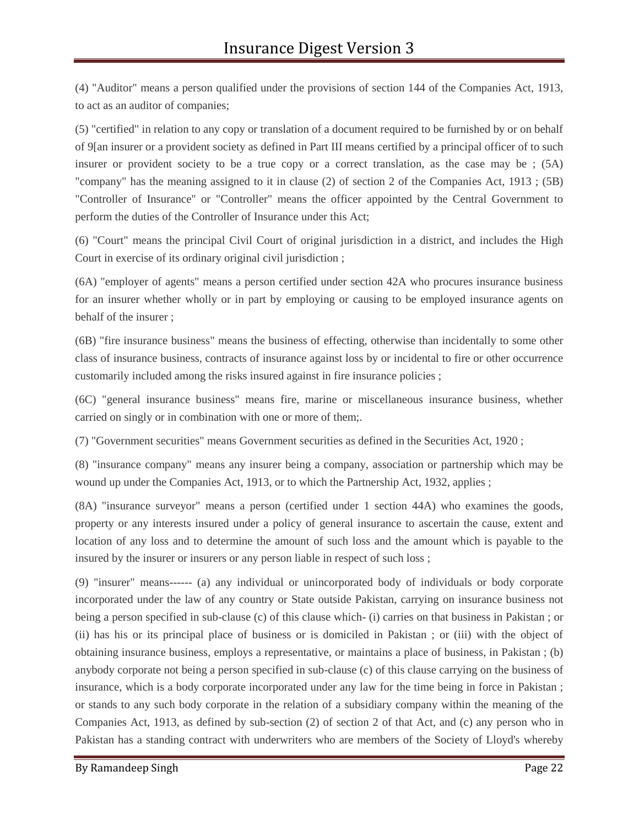(4) "Auditor" means a person qualified under the provisions of section 144 of the Companies Act, 1913, to act as an auditor of companies;

(5) "certified" in relation to any copy or translation of a document required to be furnished by or on behalf of 9[an insurer or a provident society as defined in Part III means certified by a principal officer of to such insurer or provident society to be a true copy or a correct translation, as the case may be ; (5A) "company" has the meaning assigned to it in clause (2) of section 2 of the Companies Act, 1913 ; (5B) "Controller of Insurance" or "Controller" means the officer appointed by the Central Government to perform the duties of the Controller of Insurance under this Act;

(6) "Court" means the principal Civil Court of original jurisdiction in a district, and includes the High Court in exercise of its ordinary original civil jurisdiction ;

(6A) "employer of agents" means a person certified under section 42A who procures insurance business for an insurer whether wholly or in part by employing or causing to be employed insurance agents on behalf of the insurer ;

(6B) "fire insurance business" means the business of effecting, otherwise than incidentally to some other class of insurance business, contracts of insurance against loss by or incidental to fire or other occurrence customarily included among the risks insured against in fire insurance policies ;

(6C) "general insurance business" means fire, marine or miscellaneous insurance business, whether carried on singly or in combination with one or more of them;.

(7) "Government securities" means Government securities as defined in the Securities Act, 1920 ;

(8) "insurance company" means any insurer being a company, association or partnership which may be wound up under the Companies Act, 1913, or to which the Partnership Act, 1932, applies ;

(8A) "insurance surveyor" means a person (certified under 1 section 44A) who examines the goods, property or any interests insured under a policy of general insurance to ascertain the cause, extent and location of any loss and to determine the amount of such loss and the amount which is payable to the insured by the insurer or insurers or any person liable in respect of such loss ;

(9) "insurer" means------ (a) any individual or unincorporated body of individuals or body corporate incorporated under the law of any country or State outside Pakistan, carrying on insurance business not being a person specified in sub-clause (c) of this clause which- (i) carries on that business in Pakistan ; or (ii) has his or its principal place of business or is domiciled in Pakistan ; or (iii) with the object of obtaining insurance business, employs a representative, or maintains a place of business, in Pakistan ; (b) anybody corporate not being a person specified in sub-clause (c) of this clause carrying on the business of insurance, which is a body corporate incorporated under any law for the time being in force in Pakistan ; or stands to any such body corporate in the relation of a subsidiary company within the meaning of the Companies Act, 1913, as defined by sub-section (2) of section 2 of that Act, and (c) any person who in Pakistan has a standing contract with underwriters who are members of the Society of Lloyd's whereby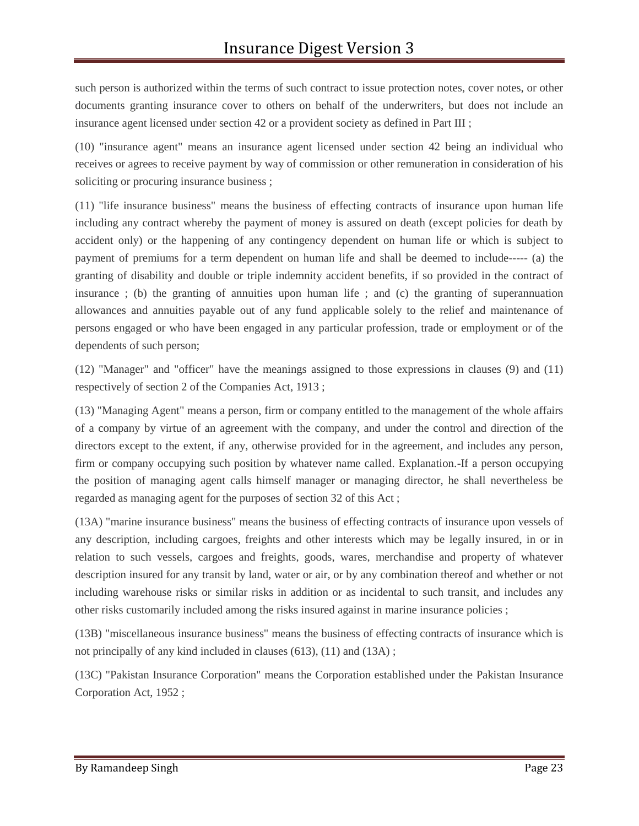such person is authorized within the terms of such contract to issue protection notes, cover notes, or other documents granting insurance cover to others on behalf of the underwriters, but does not include an insurance agent licensed under section 42 or a provident society as defined in Part III ;

(10) "insurance agent" means an insurance agent licensed under section 42 being an individual who receives or agrees to receive payment by way of commission or other remuneration in consideration of his soliciting or procuring insurance business ;

(11) "life insurance business" means the business of effecting contracts of insurance upon human life including any contract whereby the payment of money is assured on death (except policies for death by accident only) or the happening of any contingency dependent on human life or which is subject to payment of premiums for a term dependent on human life and shall be deemed to include----- (a) the granting of disability and double or triple indemnity accident benefits, if so provided in the contract of insurance ; (b) the granting of annuities upon human life ; and (c) the granting of superannuation allowances and annuities payable out of any fund applicable solely to the relief and maintenance of persons engaged or who have been engaged in any particular profession, trade or employment or of the dependents of such person;

(12) "Manager" and "officer" have the meanings assigned to those expressions in clauses (9) and (11) respectively of section 2 of the Companies Act, 1913 ;

(13) "Managing Agent" means a person, firm or company entitled to the management of the whole affairs of a company by virtue of an agreement with the company, and under the control and direction of the directors except to the extent, if any, otherwise provided for in the agreement, and includes any person, firm or company occupying such position by whatever name called. Explanation.-If a person occupying the position of managing agent calls himself manager or managing director, he shall nevertheless be regarded as managing agent for the purposes of section 32 of this Act ;

(13A) "marine insurance business" means the business of effecting contracts of insurance upon vessels of any description, including cargoes, freights and other interests which may be legally insured, in or in relation to such vessels, cargoes and freights, goods, wares, merchandise and property of whatever description insured for any transit by land, water or air, or by any combination thereof and whether or not including warehouse risks or similar risks in addition or as incidental to such transit, and includes any other risks customarily included among the risks insured against in marine insurance policies ;

(13B) "miscellaneous insurance business" means the business of effecting contracts of insurance which is not principally of any kind included in clauses (613), (11) and (13A) ;

(13C) "Pakistan Insurance Corporation" means the Corporation established under the Pakistan Insurance Corporation Act, 1952 ;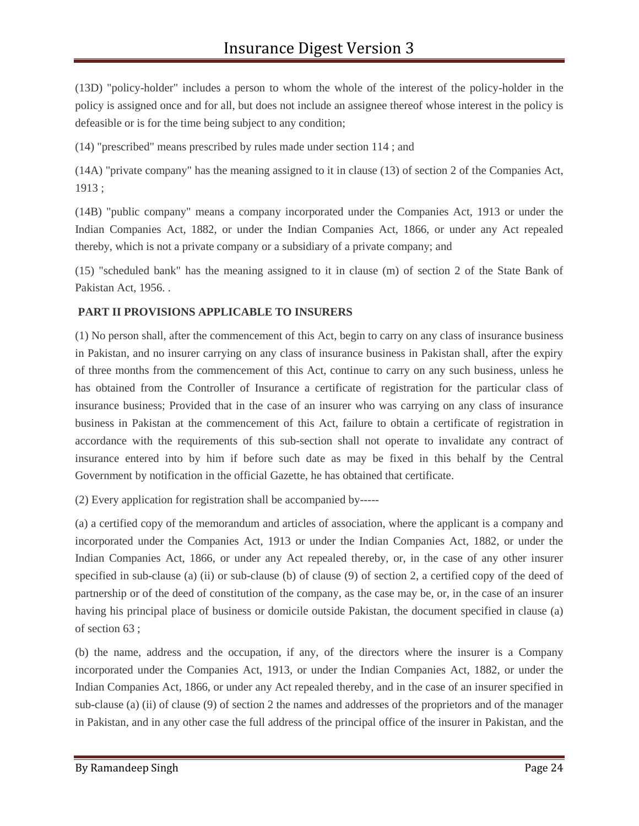(13D) "policy-holder" includes a person to whom the whole of the interest of the policy-holder in the policy is assigned once and for all, but does not include an assignee thereof whose interest in the policy is defeasible or is for the time being subject to any condition;

(14) "prescribed" means prescribed by rules made under section 114 ; and

(14A) "private company" has the meaning assigned to it in clause (13) of section 2 of the Companies Act, 1913 ;

(14B) "public company" means a company incorporated under the Companies Act, 1913 or under the Indian Companies Act, 1882, or under the Indian Companies Act, 1866, or under any Act repealed thereby, which is not a private company or a subsidiary of a private company; and

(15) "scheduled bank" has the meaning assigned to it in clause (m) of section 2 of the State Bank of Pakistan Act, 1956. .

#### **PART II PROVISIONS APPLICABLE TO INSURERS**

(1) No person shall, after the commencement of this Act, begin to carry on any class of insurance business in Pakistan, and no insurer carrying on any class of insurance business in Pakistan shall, after the expiry of three months from the commencement of this Act, continue to carry on any such business, unless he has obtained from the Controller of Insurance a certificate of registration for the particular class of insurance business; Provided that in the case of an insurer who was carrying on any class of insurance business in Pakistan at the commencement of this Act, failure to obtain a certificate of registration in accordance with the requirements of this sub-section shall not operate to invalidate any contract of insurance entered into by him if before such date as may be fixed in this behalf by the Central Government by notification in the official Gazette, he has obtained that certificate.

(2) Every application for registration shall be accompanied by-----

(a) a certified copy of the memorandum and articles of association, where the applicant is a company and incorporated under the Companies Act, 1913 or under the Indian Companies Act, 1882, or under the Indian Companies Act, 1866, or under any Act repealed thereby, or, in the case of any other insurer specified in sub-clause (a) (ii) or sub-clause (b) of clause (9) of section 2, a certified copy of the deed of partnership or of the deed of constitution of the company, as the case may be, or, in the case of an insurer having his principal place of business or domicile outside Pakistan, the document specified in clause (a) of section 63 ;

(b) the name, address and the occupation, if any, of the directors where the insurer is a Company incorporated under the Companies Act, 1913, or under the Indian Companies Act, 1882, or under the Indian Companies Act, 1866, or under any Act repealed thereby, and in the case of an insurer specified in sub-clause (a) (ii) of clause (9) of section 2 the names and addresses of the proprietors and of the manager in Pakistan, and in any other case the full address of the principal office of the insurer in Pakistan, and the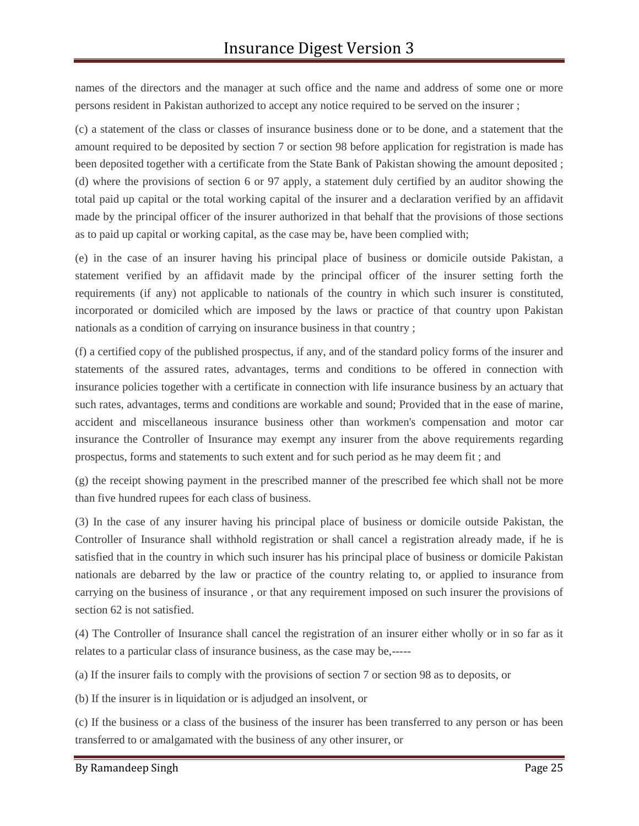names of the directors and the manager at such office and the name and address of some one or more persons resident in Pakistan authorized to accept any notice required to be served on the insurer ;

(c) a statement of the class or classes of insurance business done or to be done, and a statement that the amount required to be deposited by section 7 or section 98 before application for registration is made has been deposited together with a certificate from the State Bank of Pakistan showing the amount deposited ; (d) where the provisions of section 6 or 97 apply, a statement duly certified by an auditor showing the total paid up capital or the total working capital of the insurer and a declaration verified by an affidavit made by the principal officer of the insurer authorized in that behalf that the provisions of those sections as to paid up capital or working capital, as the case may be, have been complied with;

(e) in the case of an insurer having his principal place of business or domicile outside Pakistan, a statement verified by an affidavit made by the principal officer of the insurer setting forth the requirements (if any) not applicable to nationals of the country in which such insurer is constituted, incorporated or domiciled which are imposed by the laws or practice of that country upon Pakistan nationals as a condition of carrying on insurance business in that country ;

(f) a certified copy of the published prospectus, if any, and of the standard policy forms of the insurer and statements of the assured rates, advantages, terms and conditions to be offered in connection with insurance policies together with a certificate in connection with life insurance business by an actuary that such rates, advantages, terms and conditions are workable and sound; Provided that in the ease of marine, accident and miscellaneous insurance business other than workmen's compensation and motor car insurance the Controller of Insurance may exempt any insurer from the above requirements regarding prospectus, forms and statements to such extent and for such period as he may deem fit ; and

(g) the receipt showing payment in the prescribed manner of the prescribed fee which shall not be more than five hundred rupees for each class of business.

(3) In the case of any insurer having his principal place of business or domicile outside Pakistan, the Controller of Insurance shall withhold registration or shall cancel a registration already made, if he is satisfied that in the country in which such insurer has his principal place of business or domicile Pakistan nationals are debarred by the law or practice of the country relating to, or applied to insurance from carrying on the business of insurance , or that any requirement imposed on such insurer the provisions of section 62 is not satisfied.

(4) The Controller of Insurance shall cancel the registration of an insurer either wholly or in so far as it relates to a particular class of insurance business, as the case may be,-----

(a) If the insurer fails to comply with the provisions of section 7 or section 98 as to deposits, or

(b) If the insurer is in liquidation or is adjudged an insolvent, or

(c) If the business or a class of the business of the insurer has been transferred to any person or has been transferred to or amalgamated with the business of any other insurer, or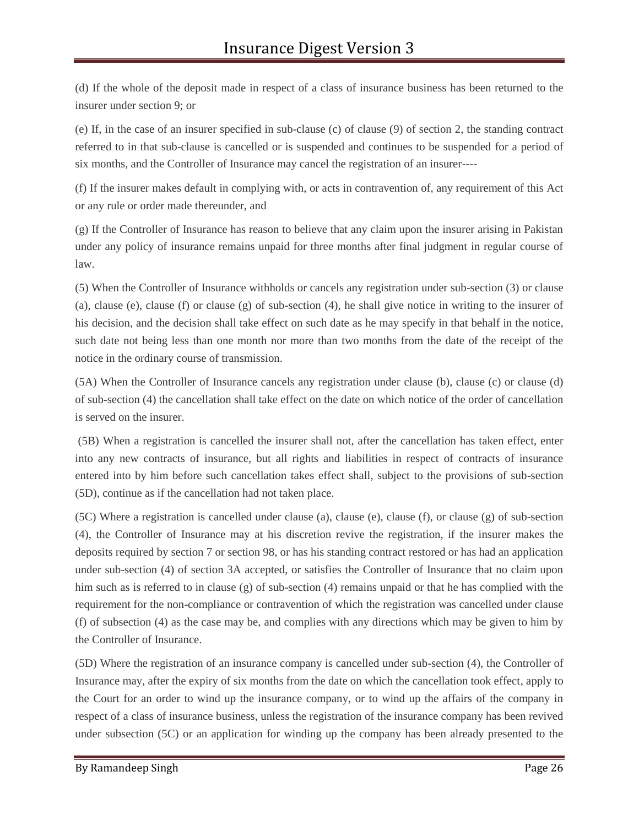(d) If the whole of the deposit made in respect of a class of insurance business has been returned to the insurer under section 9; or

(e) If, in the case of an insurer specified in sub-clause (c) of clause (9) of section 2, the standing contract referred to in that sub-clause is cancelled or is suspended and continues to be suspended for a period of six months, and the Controller of Insurance may cancel the registration of an insurer----

(f) If the insurer makes default in complying with, or acts in contravention of, any requirement of this Act or any rule or order made thereunder, and

(g) If the Controller of Insurance has reason to believe that any claim upon the insurer arising in Pakistan under any policy of insurance remains unpaid for three months after final judgment in regular course of law.

(5) When the Controller of Insurance withholds or cancels any registration under sub-section (3) or clause (a), clause (e), clause (f) or clause (g) of sub-section (4), he shall give notice in writing to the insurer of his decision, and the decision shall take effect on such date as he may specify in that behalf in the notice, such date not being less than one month nor more than two months from the date of the receipt of the notice in the ordinary course of transmission.

(5A) When the Controller of Insurance cancels any registration under clause (b), clause (c) or clause (d) of sub-section (4) the cancellation shall take effect on the date on which notice of the order of cancellation is served on the insurer.

(5B) When a registration is cancelled the insurer shall not, after the cancellation has taken effect, enter into any new contracts of insurance, but all rights and liabilities in respect of contracts of insurance entered into by him before such cancellation takes effect shall, subject to the provisions of sub-section (5D), continue as if the cancellation had not taken place.

(5C) Where a registration is cancelled under clause (a), clause (e), clause (f), or clause (g) of sub-section (4), the Controller of Insurance may at his discretion revive the registration, if the insurer makes the deposits required by section 7 or section 98, or has his standing contract restored or has had an application under sub-section (4) of section 3A accepted, or satisfies the Controller of Insurance that no claim upon him such as is referred to in clause (g) of sub-section (4) remains unpaid or that he has complied with the requirement for the non-compliance or contravention of which the registration was cancelled under clause (f) of subsection (4) as the case may be, and complies with any directions which may be given to him by the Controller of Insurance.

(5D) Where the registration of an insurance company is cancelled under sub-section (4), the Controller of Insurance may, after the expiry of six months from the date on which the cancellation took effect, apply to the Court for an order to wind up the insurance company, or to wind up the affairs of the company in respect of a class of insurance business, unless the registration of the insurance company has been revived under subsection (5C) or an application for winding up the company has been already presented to the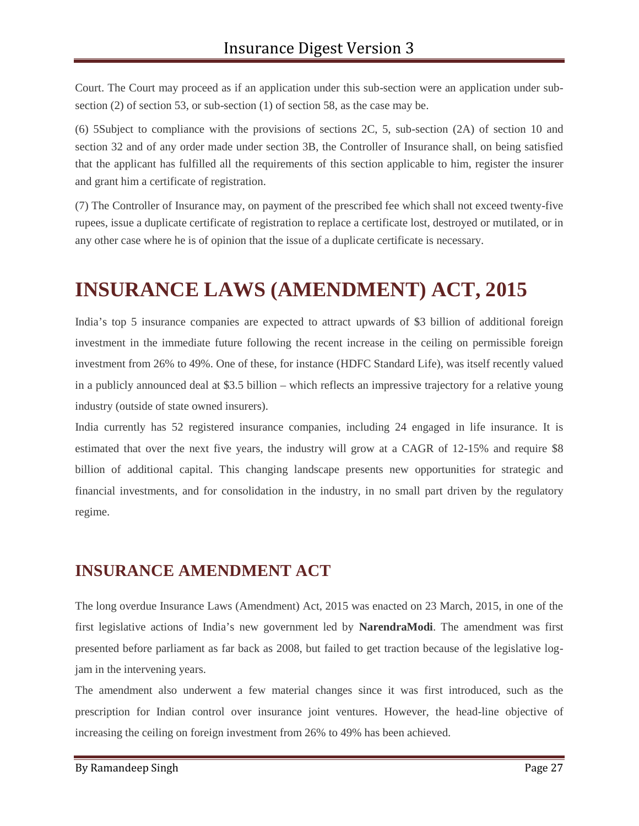Court. The Court may proceed as if an application under this sub-section were an application under sub section (2) of section 53, or sub-section (1) of section 58, as the case may be.

(6) 5Subject to compliance with the provisions of sections 2C, 5, sub-section (2A) of section 10 and section 32 and of any order made under section 3B, the Controller of Insurance shall, on being satisfied that the applicant has fulfilled all the requirements of this section applicable to him, register the insurer and grant him a certificate of registration.

(7) The Controller of Insurance may, on payment of the prescribed fee which shall not exceed twenty-five rupees, issue a duplicate certificate of registration to replace a certificate lost, destroyed or mutilated, or in any other case where he is of opinion that the issue of a duplicate certificate is necessary.

# **INSURANCE LAWS (AMENDMENT) ACT, 2015**

India's top 5 insurance companies are expected to attract upwards of \$3 billion of additional foreign investment in the immediate future following the recent increase in the ceiling on permissible foreign investment from 26% to 49%. One of these, for instance (HDFC Standard Life), was itself recently valued in a publicly announced deal at \$3.5 billion – which reflects an impressive trajectory for a relative young industry (outside of state owned insurers).

India currently has 52 registered insurance companies, including 24 engaged in life insurance. It is estimated that over the next five years, the industry will grow at a CAGR of 12-15% and require \$8 billion of additional capital. This changing landscape presents new opportunities for strategic and financial investments, and for consolidation in the industry, in no small part driven by the regulatory regime.

### **INSURANCE AMENDMENT ACT**

The long overdue Insurance Laws (Amendment) Act, 2015 was enacted on 23 March, 2015, in one of the first legislative actions of India's new government led by **NarendraModi**. The amendment was first presented before parliament as far back as 2008, but failed to get traction because of the legislative logjam in the intervening years.

The amendment also underwent a few material changes since it was first introduced, such as the prescription for Indian control over insurance joint ventures. However, the head-line objective of increasing the ceiling on foreign investment from 26% to 49% has been achieved.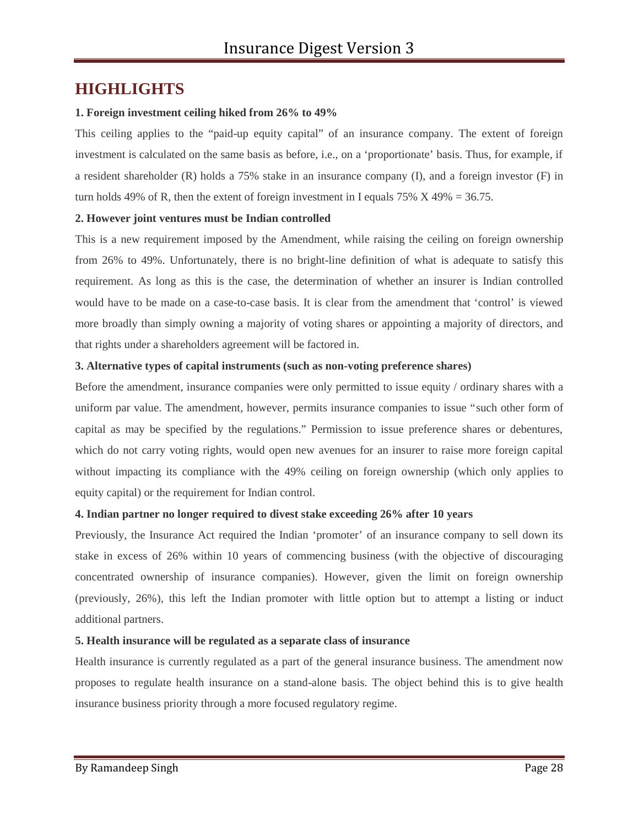### **HIGHLIGHTS**

#### **1. Foreign investment ceiling hiked from 26% to 49%**

This ceiling applies to the "paid-up equity capital" of an insurance company. The extent of foreign investment is calculated on the same basis as before, i.e., on a 'proportionate' basis. Thus, for example, if a resident shareholder (R) holds a 75% stake in an insurance company (I), and a foreign investor (F) in turn holds 49% of R, then the extent of foreign investment in I equals 75%  $X$  49% = 36.75.

#### **2. However joint ventures must be Indian controlled**

This is a new requirement imposed by the Amendment, while raising the ceiling on foreign ownership from 26% to 49%. Unfortunately, there is no bright-line definition of what is adequate to satisfy this requirement. As long as this is the case, the determination of whether an insurer is Indian controlled would have to be made on a case-to-case basis. It is clear from the amendment that 'control' is viewed more broadly than simply owning a majority of voting shares or appointing a majority of directors, and that rights under a shareholders agreement will be factored in.

#### **3. Alternative types of capital instruments (such as non-voting preference shares)**

Before the amendment, insurance companies were only permitted to issue equity / ordinary shares with a uniform par value. The amendment, however, permits insurance companies to issue "such other form of capital as may be specified by the regulations." Permission to issue preference shares or debentures, which do not carry voting rights, would open new avenues for an insurer to raise more foreign capital without impacting its compliance with the 49% ceiling on foreign ownership (which only applies to equity capital) or the requirement for Indian control.

#### **4. Indian partner no longer required to divest stake exceeding 26% after 10 years**

Previously, the Insurance Act required the Indian 'promoter' of an insurance company to sell down its stake in excess of 26% within 10 years of commencing business (with the objective of discouraging concentrated ownership of insurance companies). However, given the limit on foreign ownership (previously, 26%), this left the Indian promoter with little option but to attempt a listing or induct additional partners.

#### **5. Health insurance will be regulated as a separate class of insurance**

Health insurance is currently regulated as a part of the general insurance business. The amendment now proposes to regulate health insurance on a stand-alone basis. The object behind this is to give health insurance business priority through a more focused regulatory regime.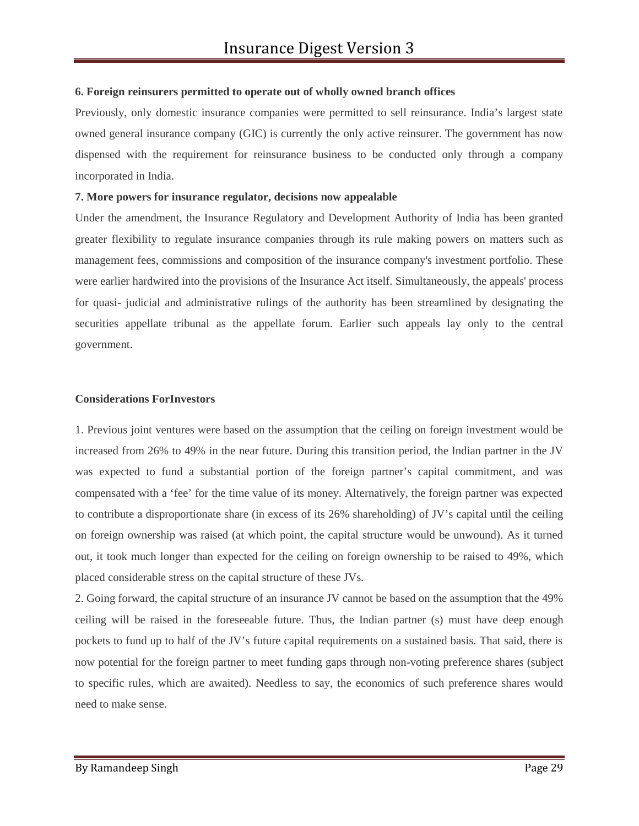#### **6. Foreign reinsurers permitted to operate out of wholly owned branch offices**

Previously, only domestic insurance companies were permitted to sell reinsurance. India's largest state owned general insurance company (GIC) is currently the only active reinsurer. The government has now dispensed with the requirement for reinsurance business to be conducted only through a company incorporated in India.

#### **7. More powers for insurance regulator, decisions now appealable**

Under the amendment, the Insurance Regulatory and Development Authority of India has been granted greater flexibility to regulate insurance companies through its rule making powers on matters such as management fees, commissions and composition of the insurance company's investment portfolio. These were earlier hardwired into the provisions of the Insurance Act itself. Simultaneously, the appeals' process for quasi- judicial and administrative rulings of the authority has been streamlined by designating the securities appellate tribunal as the appellate forum. Earlier such appeals lay only to the central government.

#### **Considerations ForInvestors**

1. Previous joint ventures were based on the assumption that the ceiling on foreign investment would be increased from 26% to 49% in the near future. During this transition period, the Indian partner in the JV was expected to fund a substantial portion of the foreign partner's capital commitment, and was compensated with a 'fee' for the time value of its money. Alternatively, the foreign partner was expected to contribute a disproportionate share (in excess of its 26% shareholding) of JV's capital until the ceiling on foreign ownership was raised (at which point, the capital structure would be unwound). As it turned out, it took much longer than expected for the ceiling on foreign ownership to be raised to 49%, which placed considerable stress on the capital structure of these JVs.

2. Going forward, the capital structure of an insurance JV cannot be based on the assumption that the 49% ceiling will be raised in the foreseeable future. Thus, the Indian partner (s) must have deep enough pockets to fund up to half of the JV's future capital requirements on a sustained basis. That said, there is now potential for the foreign partner to meet funding gaps through non-voting preference shares (subject to specific rules, which are awaited). Needless to say, the economics of such preference shares would need to make sense.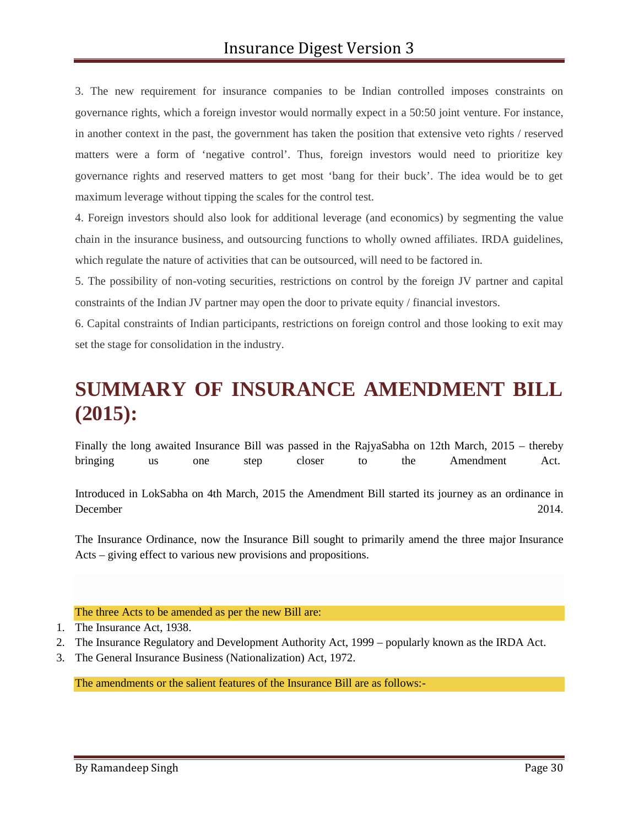3. The new requirement for insurance companies to be Indian controlled imposes constraints on governance rights, which a foreign investor would normally expect in a 50:50 joint venture. For instance, in another context in the past, the government has taken the position that extensive veto rights / reserved matters were a form of 'negative control'. Thus, foreign investors would need to prioritize key governance rights and reserved matters to get most 'bang for their buck'. The idea would be to get maximum leverage without tipping the scales for the control test.

4. Foreign investors should also look for additional leverage (and economics) by segmenting the value chain in the insurance business, and outsourcing functions to wholly owned affiliates. IRDA guidelines, which regulate the nature of activities that can be outsourced, will need to be factored in.

5. The possibility of non-voting securities, restrictions on control by the foreign JV partner and capital constraints of the Indian JV partner may open the door to private equity / financial investors.

6. Capital constraints of Indian participants, restrictions on foreign control and those looking to exit may set the stage for consolidation in the industry.

# **SUMMARY OF INSURANCE AMENDMENT BILL (2015):**

Finally the long awaited Insurance Bill was passed in the RajyaSabha on 12th March, 2015 – thereby bringing us one step closer to the Amendment Act.

Introduced in LokSabha on 4th March, 2015 the Amendment Bill started its journey as an ordinance in December 2014.

The Insurance Ordinance, now the Insurance Bill sought to primarily amend the three major Insurance Acts – giving effect to various new provisions and propositions.

#### The three Acts to be amended as per the new Bill are:

- 2. The Insurance Regulatory and Development Authority Act, 1999 popularly known as the IRDA Act.
- 3. The General Insurance Business (Nationalization) Act, 1972.

The amendments or the salient features of the Insurance Bill are as follows:-

<sup>1.</sup> The Insurance Act, 1938.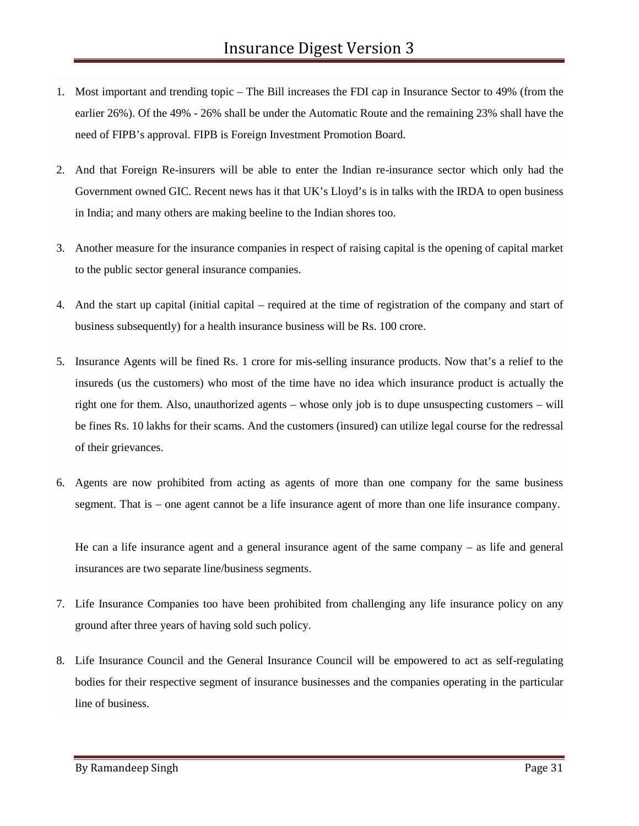- 1. Most important and trending topic The Bill increases the FDI cap in Insurance Sector to 49% (from the earlier 26%). Of the 49% - 26% shall be under the Automatic Route and the remaining 23% shall have the need of FIPB's approval. FIPB is Foreign Investment Promotion Board.
- 2. And that Foreign Re-insurers will be able to enter the Indian re-insurance sector which only had the Government owned GIC. Recent news has it that UK's Lloyd's is in talks with the IRDA to open business in India; and many others are making beeline to the Indian shores too.
- 3. Another measure for the insurance companies in respect of raising capital is the opening of capital market to the public sector general insurance companies.
- 4. And the start up capital (initial capital required at the time of registration of the company and start of business subsequently) for a health insurance business will be Rs. 100 crore.
- 5. Insurance Agents will be fined Rs. 1 crore for mis-selling insurance products. Now that's a relief to the insureds (us the customers) who most of the time have no idea which insurance product is actually the right one for them. Also, unauthorized agents – whose only job is to dupe unsuspecting customers – will be fines Rs. 10 lakhs for their scams. And the customers (insured) can utilize legal course for the redressal of their grievances.
- 6. Agents are now prohibited from acting as agents of more than one company for the same business segment. That is – one agent cannot be a life insurance agent of more than one life insurance company.

He can a life insurance agent and a general insurance agent of the same company – as life and general insurances are two separate line/business segments.

- 7. Life Insurance Companies too have been prohibited from challenging any life insurance policy on any ground after three years of having sold such policy.
- 8. Life Insurance Council and the General Insurance Council will be empowered to act as self-regulating bodies for their respective segment of insurance businesses and the companies operating in the particular line of business.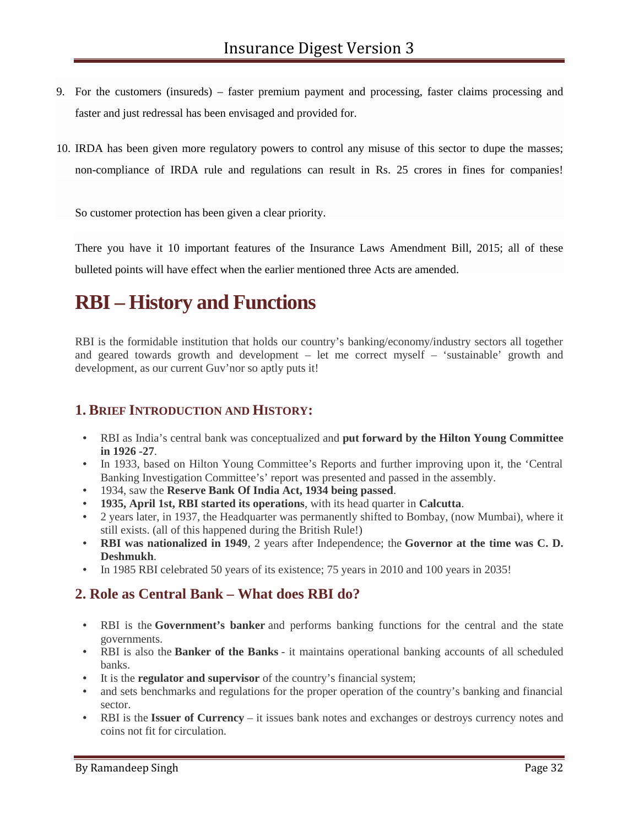- 9. For the customers (insureds) faster premium payment and processing, faster claims processing and faster and just redressal has been envisaged and provided for.
- 10. IRDA has been given more regulatory powers to control any misuse of this sector to dupe the masses; non-compliance of IRDA rule and regulations can result in Rs. 25 crores in fines for companies!

So customer protection has been given a clear priority.

There you have it 10 important features of the Insurance Laws Amendment Bill, 2015; all of these bulleted points will have effect when the earlier mentioned three Acts are amended.

# **RBI – History and Functions**

RBI is the formidable institution that holds our country's banking/economy/industry sectors all together and geared towards growth and development – let me correct myself – 'sustainable' growth and development, as our current Guv'nor so aptly puts it!

#### **1. BRIEF INTRODUCTION AND HISTORY:**

- RBI as India's central bank was conceptualized and **put forward by the Hilton Young Committee in 1926 -27**.
- In 1933, based on Hilton Young Committee's Reports and further improving upon it, the 'Central Banking Investigation Committee's' report was presented and passed in the assembly.
- 1934, saw the **Reserve Bank Of India Act, 1934 being passed**.
- **1935, April 1st, RBI started its operations**, with its head quarter in **Calcutta**.
- 2 years later, in 1937, the Headquarter was permanently shifted to Bombay, (now Mumbai), where it still exists. (all of this happened during the British Rule!)
- **RBI was nationalized in 1949**, 2 years after Independence; the **Governor at the time was C. D. Deshmukh**.
- In 1985 RBI celebrated 50 years of its existence; 75 years in 2010 and 100 years in 2035!

### **2. Role as Central Bank – What does RBI do?**

- RBI is the **Government's banker** and performs banking functions for the central and the state governments.
- RBI is also the **Banker of the Banks** it maintains operational banking accounts of all scheduled banks.
- It is the **regulator and supervisor** of the country's financial system;
- and sets benchmarks and regulations for the proper operation of the country's banking and financial sector.
- RBI is the **Issuer of Currency** it issues bank notes and exchanges or destroys currency notes and coins not fit for circulation.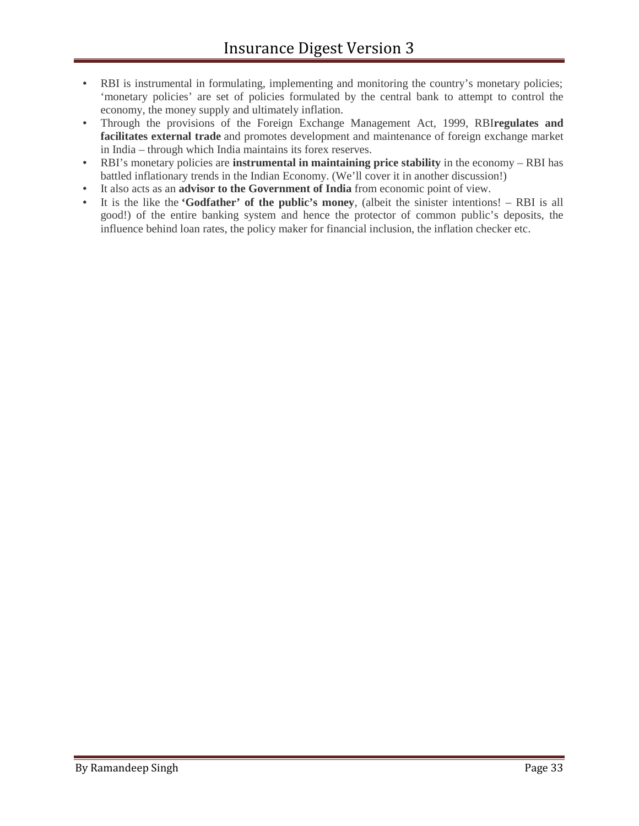- RBI is instrumental in formulating, implementing and monitoring the country's monetary policies; 'monetary policies' are set of policies formulated by the central bank to attempt to control the economy, the money supply and ultimately inflation.
- Through the provisions of the Foreign Exchange Management Act, 1999, RBI**regulates and facilitates external trade** and promotes development and maintenance of foreign exchange market in India – through which India maintains its forex reserves.
- RBI's monetary policies are **instrumental in maintaining price stability** in the economy RBI has battled inflationary trends in the Indian Economy. (We'll cover it in another discussion!)
- It also acts as an **advisor to the Government of India** from economic point of view.
- It is the like the **'Godfather' of the public's money**, (albeit the sinister intentions! RBI is all good!) of the entire banking system and hence the protector of common public's deposits, the influence behind loan rates, the policy maker for financial inclusion, the inflation checker etc.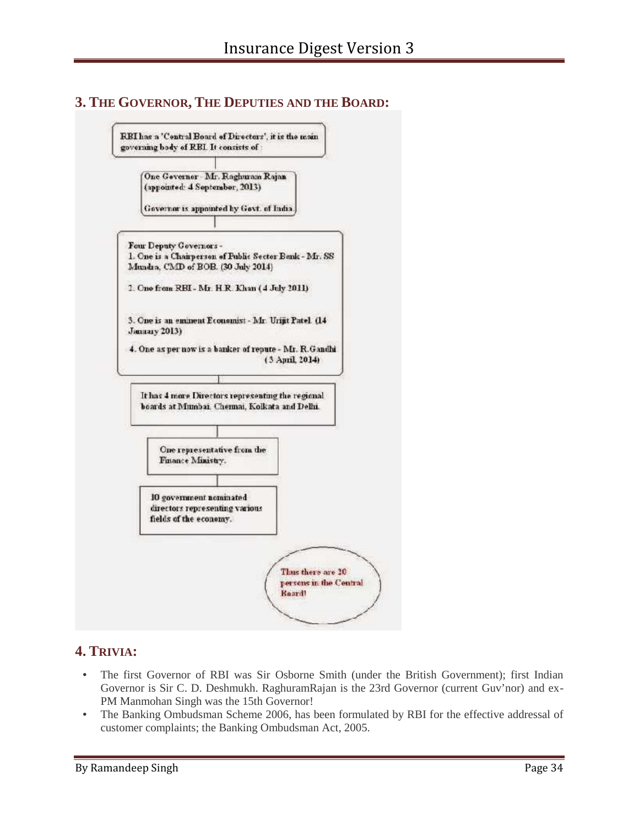#### **3. THE GOVERNOR, THE DEPUTIES AND THE BOARD:**



### **4. TRIVIA:**

- The first Governor of RBI was Sir Osborne Smith (under the British Government); first Indian Governor is Sir C. D. Deshmukh. RaghuramRajan is the 23rd Governor (current Guv'nor) and ex- PM Manmohan Singh was the 15th Governor!
- The Banking Ombudsman Scheme 2006, has been formulated by RBI for the effective addressal of customer complaints; the Banking Ombudsman Act, 2005.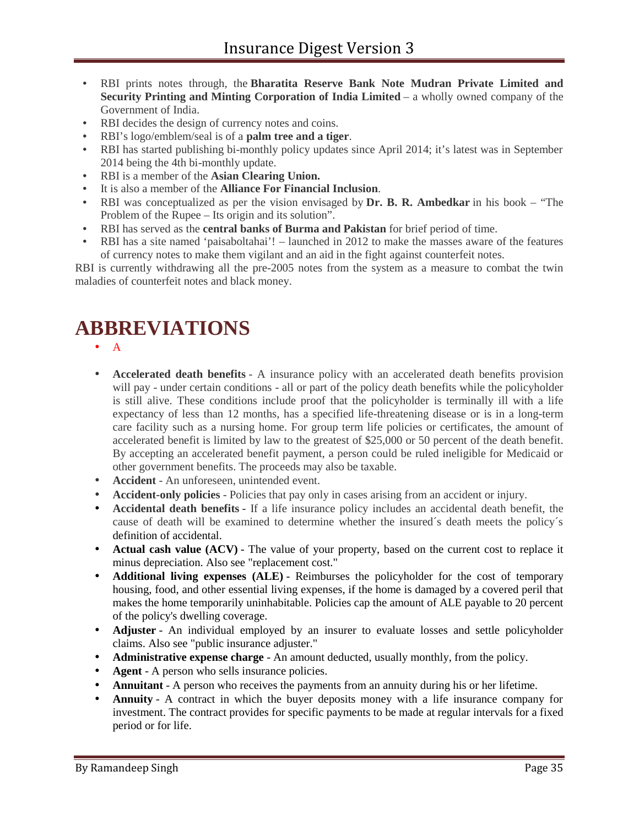- RBI prints notes through, the **Bharatita Reserve Bank Note Mudran Private Limited and Security Printing and Minting Corporation of India Limited** – a wholly owned company of the Government of India.
- RBI decides the design of currency notes and coins.
- RBI's logo/emblem/seal is of a **palm tree and a tiger**.
- RBI has started publishing bi-monthly policy updates since April 2014; it's latest was in September 2014 being the 4th bi-monthly update.
- RBI is a member of the **Asian Clearing Union.**
- It is also a member of the **Alliance For Financial Inclusion**.
- RBI was conceptualized as per the vision envisaged by **Dr. B. R. Ambedkar** in his book "The Problem of the Rupee – Its origin and its solution".
- RBI has served as the **central banks of Burma and Pakistan** for brief period of time.
- RBI has a site named 'paisaboltahai'! launched in 2012 to make the masses aware of the features of currency notes to make them vigilant and an aid in the fight against counterfeit notes.

RBI is currently withdrawing all the pre-2005 notes from the system as a measure to combat the twin maladies of counterfeit notes and black money.

# **ABBREVIATIONS**

- $\bullet$  A
- **Accelerated death benefits** A insurance policy with an accelerated death benefits provision will pay - under certain conditions - all or part of the policy death benefits while the policyholder is still alive. These conditions include proof that the policyholder is terminally ill with a life expectancy of less than 12 months, has a specified life-threatening disease or is in a long-term care facility such as a nursing home. For group term life policies or certificates, the amount of accelerated benefit is limited by law to the greatest of \$25,000 or 50 percent of the death benefit. By accepting an accelerated benefit payment, a person could be ruled ineligible for Medicaid or other government benefits. The proceeds may also be taxable.
- **Accident** An unforeseen, unintended event.
- **Accident-only policies** Policies that pay only in cases arising from an accident or injury.
- **Accidental death benefits -** If a life insurance policy includes an accidental death benefit, the cause of death will be examined to determine whether the insured´s death meets the policy´s definition of accidental.
- **Actual cash value (ACV)** The value of your property, based on the current cost to replace it minus depreciation. Also see "replacement cost."
- **Additional living expenses (ALE)** Reimburses the policyholder for the cost of temporary housing, food, and other essential living expenses, if the home is damaged by a covered peril that makes the home temporarily uninhabitable. Policies cap the amount of ALE payable to 20 percent of the policy's dwelling coverage.
- **Adjuster** An individual employed by an insurer to evaluate losses and settle policyholder claims. Also see "public insurance adjuster."
- **Administrative expense charge** An amount deducted, usually monthly, from the policy.
- **Agent** A person who sells insurance policies.
- **Annuitant** A person who receives the payments from an annuity during his or her lifetime.
- **Annuity** A contract in which the buyer deposits money with a life insurance company for investment. The contract provides for specific payments to be made at regular intervals for a fixed period or for life.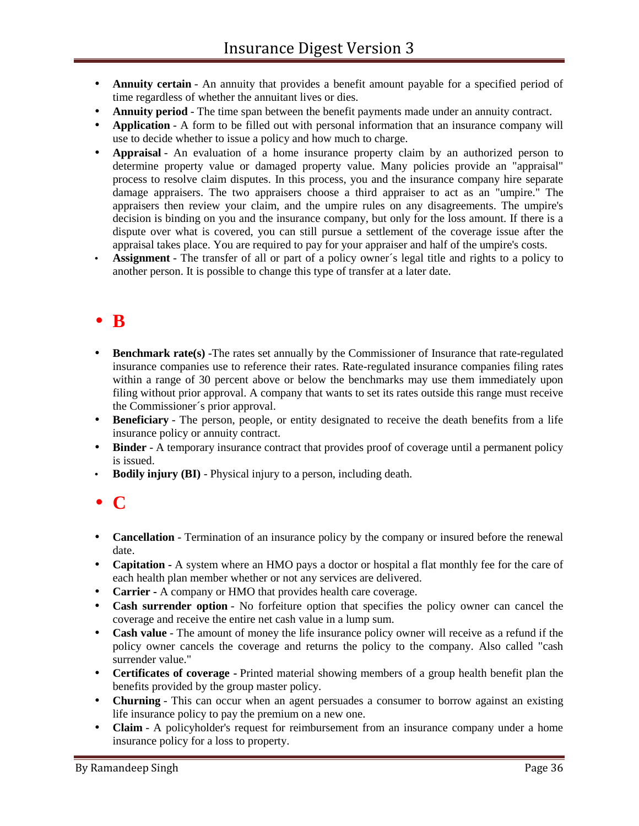- **Annuity certain** An annuity that provides a benefit amount payable for a specified period of time regardless of whether the annuitant lives or dies.
- **Annuity period** The time span between the benefit payments made under an annuity contract.
- **Application** A form to be filled out with personal information that an insurance company will use to decide whether to issue a policy and how much to charge.
- **Appraisal** An evaluation of a home insurance property claim by an authorized person to determine property value or damaged property value. Many policies provide an "appraisal" process to resolve claim disputes. In this process, you and the insurance company hire separate damage appraisers. The two appraisers choose a third appraiser to act as an "umpire." The appraisers then review your claim, and the umpire rules on any disagreements. The umpire's decision is binding on you and the insurance company, but only for the loss amount. If there is a dispute over what is covered, you can still pursue a settlement of the coverage issue after the appraisal takes place. You are required to pay for your appraiser and half of the umpire's costs.
- **Assignment** The transfer of all or part of a policy owner´s legal title and rights to a policy to another person. It is possible to change this type of transfer at a later date.

### **B**

- **Benchmark rate(s)** -The rates set annually by the Commissioner of Insurance that rate-regulated insurance companies use to reference their rates. Rate-regulated insurance companies filing rates within a range of 30 percent above or below the benchmarks may use them immediately upon filing without prior approval. A company that wants to set its rates outside this range must receive the Commissioner´s prior approval.
- **Beneficiary** The person, people, or entity designated to receive the death benefits from a life insurance policy or annuity contract.
- **Binder** A temporary insurance contract that provides proof of coverage until a permanent policy is issued.
- **Bodily injury (BI)** Physical injury to a person, including death.

### **C**

- **Cancellation** Termination of an insurance policy by the company or insured before the renewal date.
- **Capitation -** A system where an HMO pays a doctor or hospital a flat monthly fee for the care of each health plan member whether or not any services are delivered.
- **Carrier -** A company or HMO that provides health care coverage.
- **Cash surrender option** No forfeiture option that specifies the policy owner can cancel the coverage and receive the entire net cash value in a lump sum.
- **Cash value** The amount of money the life insurance policy owner will receive as a refund if the policy owner cancels the coverage and returns the policy to the company. Also called "cash surrender value."
- **Certificates of coverage -** Printed material showing members of a group health benefit plan the benefits provided by the group master policy.
- **Churning** This can occur when an agent persuades a consumer to borrow against an existing life insurance policy to pay the premium on a new one.
- **Claim** A policyholder's request for reimbursement from an insurance company under a home insurance policy for a loss to property.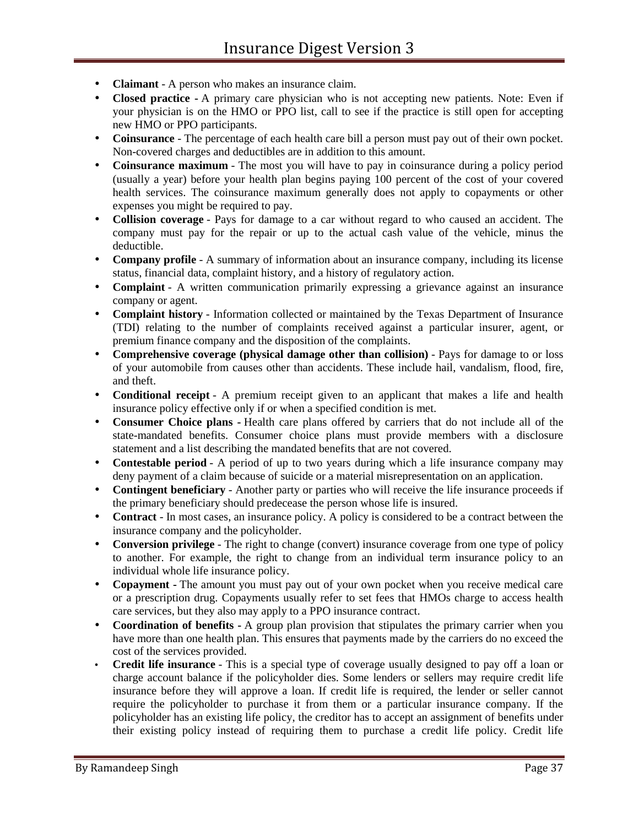- **Claimant** A person who makes an insurance claim.
- **Closed practice -** A primary care physician who is not accepting new patients. Note: Even if your physician is on the HMO or PPO list, call to see if the practice is still open for accepting new HMO or PPO participants.
- **Coinsurance** The percentage of each health care bill a person must pay out of their own pocket. Non-covered charges and deductibles are in addition to this amount.
- **Coinsurance maximum** The most you will have to pay in coinsurance during a policy period (usually a year) before your health plan begins paying 100 percent of the cost of your covered health services. The coinsurance maximum generally does not apply to copayments or other expenses you might be required to pay.
- **Collision coverage** Pays for damage to a car without regard to who caused an accident. The company must pay for the repair or up to the actual cash value of the vehicle, minus the deductible.
- **Company profile** A summary of information about an insurance company, including its license status, financial data, complaint history, and a history of regulatory action.
- **Complaint** A written communication primarily expressing a grievance against an insurance company or agent.
- **Complaint history** Information collected or maintained by the Texas Department of Insurance (TDI) relating to the number of complaints received against a particular insurer, agent, or premium finance company and the disposition of the complaints.
- **Comprehensive coverage (physical damage other than collision)** Pays for damage to or loss of your automobile from causes other than accidents. These include hail, vandalism, flood, fire, and theft.
- **Conditional receipt** A premium receipt given to an applicant that makes a life and health insurance policy effective only if or when a specified condition is met.
- **Consumer Choice plans -** Health care plans offered by carriers that do not include all of the state-mandated benefits. Consumer choice plans must provide members with a disclosure statement and a list describing the mandated benefits that are not covered.
- **Contestable period** A period of up to two years during which a life insurance company may deny payment of a claim because of suicide or a material misrepresentation on an application.
- **Contingent beneficiary** Another party or parties who will receive the life insurance proceeds if the primary beneficiary should predecease the person whose life is insured.
- **Contract** In most cases, an insurance policy. A policy is considered to be a contract between the insurance company and the policyholder.
- **Conversion privilege** The right to change (convert) insurance coverage from one type of policy to another. For example, the right to change from an individual term insurance policy to an individual whole life insurance policy.
- **Copayment -** The amount you must pay out of your own pocket when you receive medical care or a prescription drug. Copayments usually refer to set fees that HMOs charge to access health care services, but they also may apply to a PPO insurance contract.
- **Coordination of benefits -** A group plan provision that stipulates the primary carrier when you have more than one health plan. This ensures that payments made by the carriers do no exceed the cost of the services provided.
- **Credit life insurance** This is a special type of coverage usually designed to pay off a loan or charge account balance if the policyholder dies. Some lenders or sellers may require credit life insurance before they will approve a loan. If credit life is required, the lender or seller cannot require the policyholder to purchase it from them or a particular insurance company. If the policyholder has an existing life policy, the creditor has to accept an assignment of benefits under their existing policy instead of requiring them to purchase a credit life policy. Credit life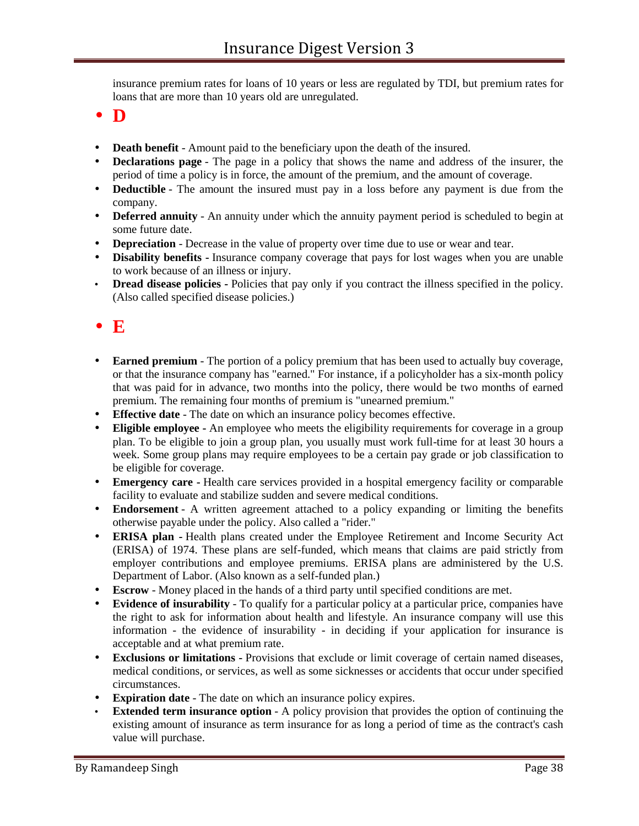insurance premium rates for loans of 10 years or less are regulated by TDI, but premium rates for loans that are more than 10 years old are unregulated.

- **D**
- **Death benefit** Amount paid to the beneficiary upon the death of the insured.
- **Declarations page** The page in a policy that shows the name and address of the insurer, the period of time a policy is in force, the amount of the premium, and the amount of coverage.
- **Deductible** The amount the insured must pay in a loss before any payment is due from the company.
- **Deferred annuity** An annuity under which the annuity payment period is scheduled to begin at some future date.
- **Depreciation** Decrease in the value of property over time due to use or wear and tear.
- **Disability benefits -** Insurance company coverage that pays for lost wages when you are unable to work because of an illness or injury.
- **Dread disease policies -** Policies that pay only if you contract the illness specified in the policy. (Also called specified disease policies.)

### $\bullet$   $E$

- **Earned premium** The portion of a policy premium that has been used to actually buy coverage, or that the insurance company has "earned." For instance, if a policyholder has a six-month policy that was paid for in advance, two months into the policy, there would be two months of earned premium. The remaining four months of premium is "unearned premium."
- **Effective date** The date on which an insurance policy becomes effective.
- **Eligible employee -** An employee who meets the eligibility requirements for coverage in a group plan. To be eligible to join a group plan, you usually must work full-time for at least 30 hours a week. Some group plans may require employees to be a certain pay grade or job classification to be eligible for coverage.
- **Emergency care -** Health care services provided in a hospital emergency facility or comparable facility to evaluate and stabilize sudden and severe medical conditions.
- **Endorsement** A written agreement attached to a policy expanding or limiting the benefits otherwise payable under the policy. Also called a "rider."
- **ERISA plan -** Health plans created under the Employee Retirement and Income Security Act (ERISA) of 1974. These plans are self-funded, which means that claims are paid strictly from employer contributions and employee premiums. ERISA plans are administered by the U.S. Department of Labor. (Also known as a self-funded plan.)
- **Escrow** Money placed in the hands of a third party until specified conditions are met.
- **Evidence of insurability** To qualify for a particular policy at a particular price, companies have the right to ask for information about health and lifestyle. An insurance company will use this information - the evidence of insurability - in deciding if your application for insurance is acceptable and at what premium rate.
- **Exclusions or limitations -** Provisions that exclude or limit coverage of certain named diseases, medical conditions, or services, as well as some sicknesses or accidents that occur under specified circumstances.
- **Expiration date** The date on which an insurance policy expires.
- **Extended term insurance option** A policy provision that provides the option of continuing the existing amount of insurance as term insurance for as long a period of time as the contract's cash value will purchase.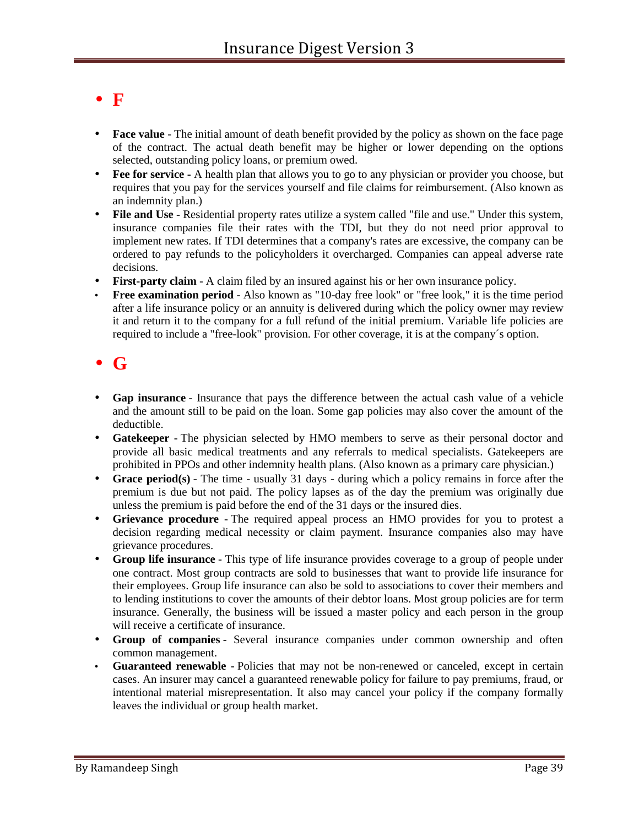### **F**

- **Face value** The initial amount of death benefit provided by the policy as shown on the face page of the contract. The actual death benefit may be higher or lower depending on the options selected, outstanding policy loans, or premium owed.
- **Fee for service -** A health plan that allows you to go to any physician or provider you choose, but requires that you pay for the services yourself and file claims for reimbursement. (Also known as an indemnity plan.)
- **File and Use** Residential property rates utilize a system called "file and use." Under this system, insurance companies file their rates with the TDI, but they do not need prior approval to implement new rates. If TDI determines that a company's rates are excessive, the company can be ordered to pay refunds to the policyholders it overcharged. Companies can appeal adverse rate decisions.
- **First-party claim** A claim filed by an insured against his or her own insurance policy.
- **Free examination period** Also known as "10-day free look" or "free look," it is the time period after a life insurance policy or an annuity is delivered during which the policy owner may review it and return it to the company for a full refund of the initial premium. Variable life policies are required to include a "free-look" provision. For other coverage, it is at the company´s option.

### **G**

- **Gap insurance** Insurance that pays the difference between the actual cash value of a vehicle and the amount still to be paid on the loan. Some gap policies may also cover the amount of the deductible.
- **Gatekeeper -** The physician selected by HMO members to serve as their personal doctor and provide all basic medical treatments and any referrals to medical specialists. Gatekeepers are prohibited in PPOs and other indemnity health plans. (Also known as a primary care physician.)
- **Grace period(s)** The time usually 31 days during which a policy remains in force after the premium is due but not paid. The policy lapses as of the day the premium was originally due unless the premium is paid before the end of the 31 days or the insured dies.
- **Grievance procedure -**The required appeal process an HMO provides for you to protest a decision regarding medical necessity or claim payment. Insurance companies also may have grievance procedures.
- **Group life insurance** This type of life insurance provides coverage to a group of people under one contract. Most group contracts are sold to businesses that want to provide life insurance for their employees. Group life insurance can also be sold to associations to cover their members and to lending institutions to cover the amounts of their debtor loans. Most group policies are for term insurance. Generally, the business will be issued a master policy and each person in the group will receive a certificate of insurance.
- **Group of companies** Several insurance companies under common ownership and often common management.
- **Guaranteed renewable -** Policies that may not be non-renewed or canceled, except in certain cases. An insurer may cancel a guaranteed renewable policy for failure to pay premiums, fraud, or intentional material misrepresentation. It also may cancel your policy if the company formally leaves the individual or group health market.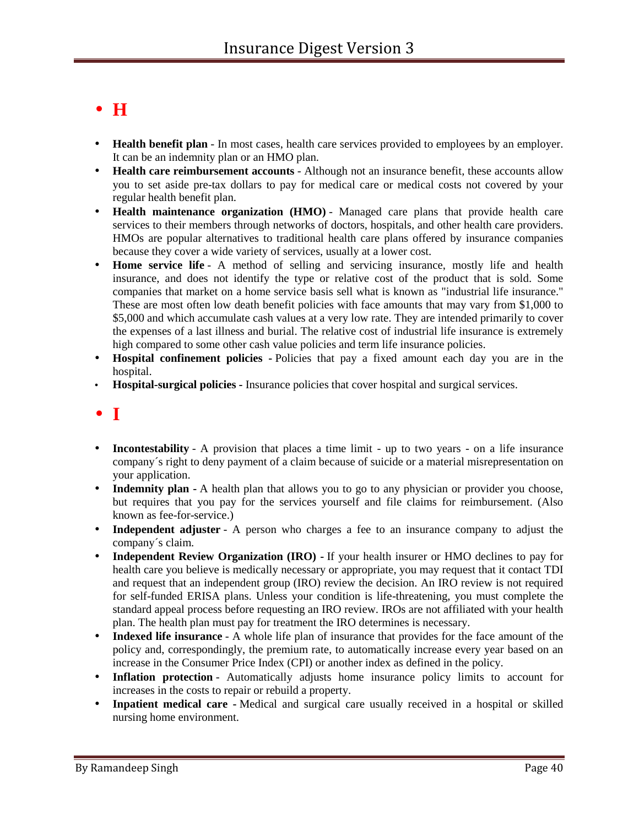# **H**

- **Health benefit plan** In most cases, health care services provided to employees by an employer. It can be an indemnity plan or an HMO plan.
- **Health care reimbursement accounts** Although not an insurance benefit, these accounts allow you to set aside pre-tax dollars to pay for medical care or medical costs not covered by your regular health benefit plan.
- **Health maintenance organization (HMO)** Managed care plans that provide health care services to their members through networks of doctors, hospitals, and other health care providers. HMOs are popular alternatives to traditional health care plans offered by insurance companies because they cover a wide variety of services, usually at a lower cost.
- **Home service life** A method of selling and servicing insurance, mostly life and health insurance, and does not identify the type or relative cost of the product that is sold. Some companies that market on a home service basis sell what is known as "industrial life insurance." These are most often low death benefit policies with face amounts that may vary from \$1,000 to \$5,000 and which accumulate cash values at a very low rate. They are intended primarily to cover the expenses of a last illness and burial. The relative cost of industrial life insurance is extremely high compared to some other cash value policies and term life insurance policies.
- **Hospital confinement policies -** Policies that pay a fixed amount each day you are in the hospital.
- **Hospital-surgical policies -** Insurance policies that cover hospital and surgical services.
- **I**
- **Incontestability** A provision that places a time limit up to two years on a life insurance company´s right to deny payment of a claim because of suicide or a material misrepresentation on your application.
- **Indemnity plan -** A health plan that allows you to go to any physician or provider you choose, but requires that you pay for the services yourself and file claims for reimbursement. (Also known as fee-for-service.)
- **Independent adjuster** A person who charges a fee to an insurance company to adjust the company´s claim.
- Independent Review Organization (IRO) If your health insurer or HMO declines to pay for health care you believe is medically necessary or appropriate, you may request that it contact TDI and request that an independent group (IRO) review the decision. An IRO review is not required for self-funded ERISA plans. Unless your condition is life-threatening, you must complete the standard appeal process before requesting an IRO review. IROs are not affiliated with your health plan. The health plan must pay for treatment the IRO determines is necessary.
- **Indexed life insurance** A whole life plan of insurance that provides for the face amount of the policy and, correspondingly, the premium rate, to automatically increase every year based on an increase in the Consumer Price Index (CPI) or another index as defined in the policy.
- **Inflation protection** Automatically adjusts home insurance policy limits to account for increases in the costs to repair or rebuild a property.
- **Inpatient medical care -**Medical and surgical care usually received in a hospital or skilled nursing home environment.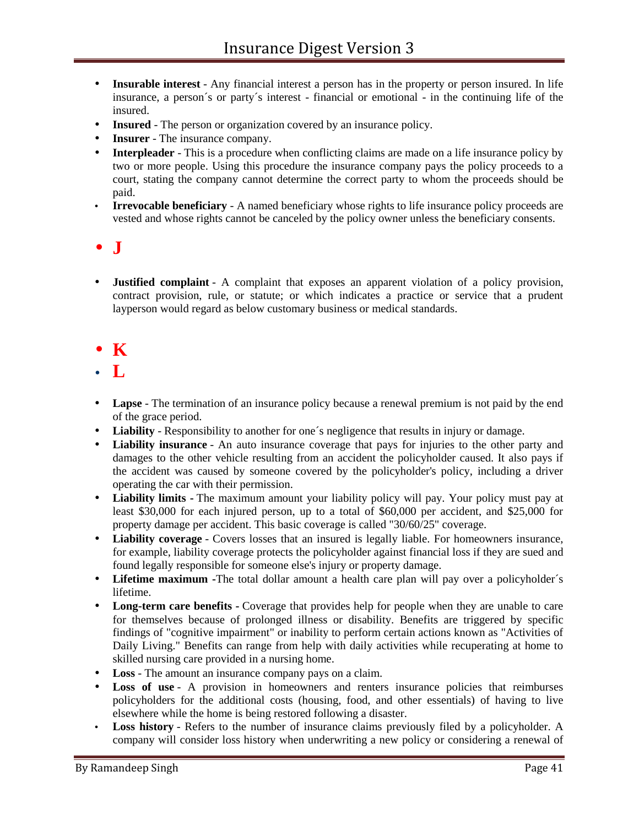- **Insurable interest** Any financial interest a person has in the property or person insured. In life insurance, a person´s or party´s interest - financial or emotional - in the continuing life of the insured.
- **Insured** The person or organization covered by an insurance policy.
- **Insurer** The insurance company.
- **Interpleader** This is a procedure when conflicting claims are made on a life insurance policy by two or more people. Using this procedure the insurance company pays the policy proceeds to a court, stating the company cannot determine the correct party to whom the proceeds should be paid.
- **Irrevocable beneficiary** A named beneficiary whose rights to life insurance policy proceeds are vested and whose rights cannot be canceled by the policy owner unless the beneficiary consents.

### $\bullet$   $\overline{\mathbf{J}}$

 **Justified complaint** - A complaint that exposes an apparent violation of a policy provision, contract provision, rule, or statute; or which indicates a practice or service that a prudent layperson would regard as below customary business or medical standards.

### $\bullet$  K

- **L**
- **Lapse** The termination of an insurance policy because a renewal premium is not paid by the end of the grace period.
- **Liability** Responsibility to another for one´s negligence that results in injury or damage.
- **Liability insurance** An auto insurance coverage that pays for injuries to the other party and damages to the other vehicle resulting from an accident the policyholder caused. It also pays if the accident was caused by someone covered by the policyholder's policy, including a driver operating the car with their permission.
- **Liability limits -** The maximum amount your liability policy will pay. Your policy must pay at least \$30,000 for each injured person, up to a total of \$60,000 per accident, and \$25,000 for property damage per accident. This basic coverage is called "30/60/25" coverage.
- **Liability coverage** Covers losses that an insured is legally liable. For homeowners insurance, for example, liability coverage protects the policyholder against financial loss if they are sued and found legally responsible for someone else's injury or property damage.
- **Lifetime maximum -**The total dollar amount a health care plan will pay over a policyholder´s lifetime.
- Long-term care benefits **-** Coverage that provides help for people when they are unable to care for themselves because of prolonged illness or disability. Benefits are triggered by specific findings of "cognitive impairment" or inability to perform certain actions known as "Activities of Daily Living." Benefits can range from help with daily activities while recuperating at home to skilled nursing care provided in a nursing home.
- **Loss** The amount an insurance company pays on a claim.
- **Loss of use** A provision in homeowners and renters insurance policies that reimburses policyholders for the additional costs (housing, food, and other essentials) of having to live elsewhere while the home is being restored following a disaster.
- **Loss history** Refers to the number of insurance claims previously filed by a policyholder. A company will consider loss history when underwriting a new policy or considering a renewal of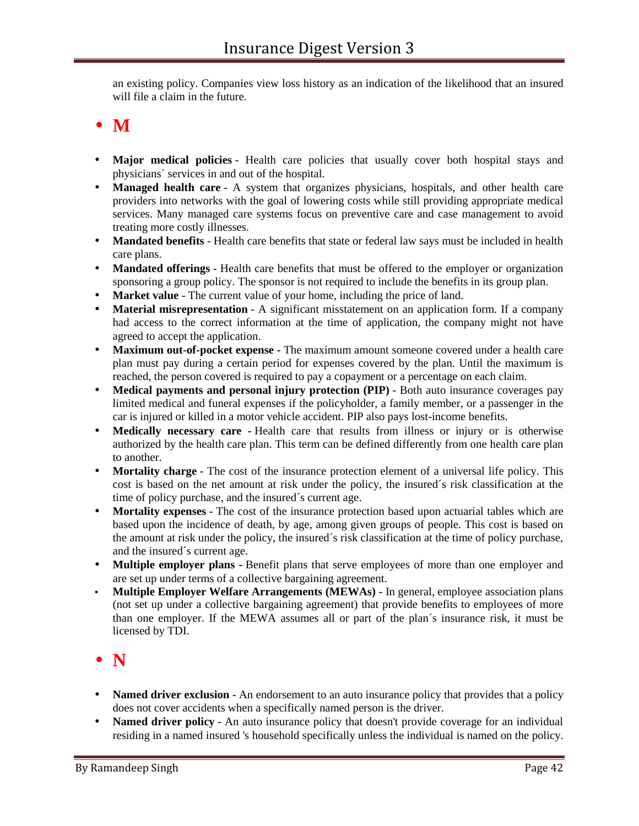an existing policy. Companies view loss history as an indication of the likelihood that an insured will file a claim in the future.

- **M**
- **Major medical policies** Health care policies that usually cover both hospital stays and physicians´ services in and out of the hospital.
- **Managed health care** A system that organizes physicians, hospitals, and other health care providers into networks with the goal of lowering costs while still providing appropriate medical services. Many managed care systems focus on preventive care and case management to avoid treating more costly illnesses.
- **Mandated benefits** Health care benefits that state or federal law says must be included in health care plans.
- **Mandated offerings** Health care benefits that must be offered to the employer or organization sponsoring a group policy. The sponsor is not required to include the benefits in its group plan.
- **Market value** The current value of your home, including the price of land.
- **Material misrepresentation** A significant misstatement on an application form. If a company had access to the correct information at the time of application, the company might not have agreed to accept the application.
- **Maximum out-of-pocket expense -** The maximum amount someone covered under a health care plan must pay during a certain period for expenses covered by the plan. Until the maximum is reached, the person covered is required to pay a copayment or a percentage on each claim.
- **Medical payments and personal injury protection (PIP)** Both auto insurance coverages pay limited medical and funeral expenses if the policyholder, a family member, or a passenger in the car is injured or killed in a motor vehicle accident. PIP also pays lost-income benefits.
- **Medically necessary care -** Health care that results from illness or injury or is otherwise authorized by the health care plan. This term can be defined differently from one health care plan to another.
- **Mortality charge** The cost of the insurance protection element of a universal life policy. This cost is based on the net amount at risk under the policy, the insured´s risk classification at the time of policy purchase, and the insured´s current age.
- **Mortality expenses** The cost of the insurance protection based upon actuarial tables which are based upon the incidence of death, by age, among given groups of people. This cost is based on the amount at risk under the policy, the insured´s risk classification at the time of policy purchase, and the insured´s current age.
- **Multiple employer plans -** Benefit plans that serve employees of more than one employer and are set up under terms of a collective bargaining agreement.
- **Multiple Employer Welfare Arrangements (MEWAs) -** In general, employee association plans (not set up under a collective bargaining agreement) that provide benefits to employees of more than one employer. If the MEWA assumes all or part of the plan´s insurance risk, it must be licensed by TDI.

### **N**

- **Named driver exclusion** An endorsement to an auto insurance policy that provides that a policy does not cover accidents when a specifically named person is the driver.
- Named driver policy An auto insurance policy that doesn't provide coverage for an individual residing in a named insured 's household specifically unless the individual is named on the policy.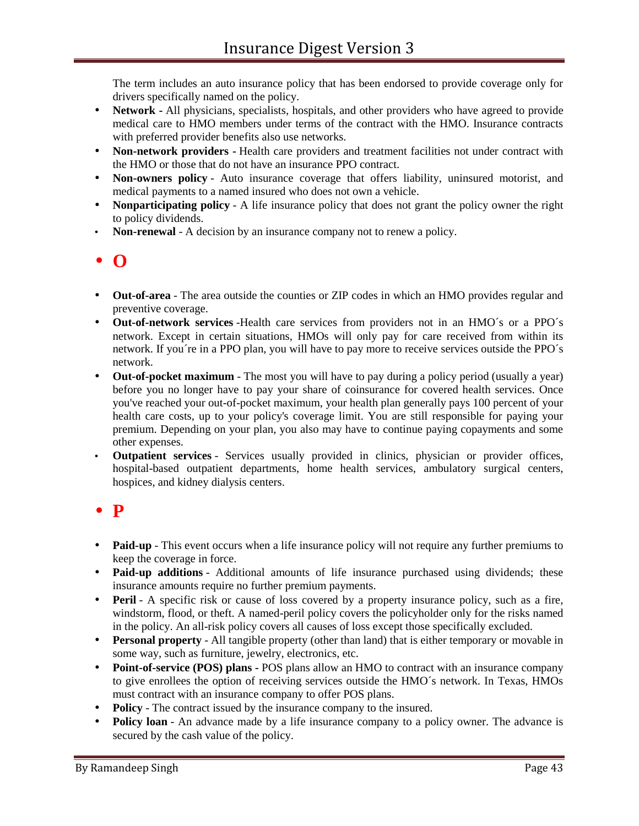The term includes an auto insurance policy that has been endorsed to provide coverage only for drivers specifically named on the policy.

- **Network -** All physicians, specialists, hospitals, and other providers who have agreed to provide medical care to HMO members under terms of the contract with the HMO. Insurance contracts with preferred provider benefits also use networks.
- **Non-network providers -** Health care providers and treatment facilities not under contract with the HMO or those that do not have an insurance PPO contract.
- **Non-owners policy** Auto insurance coverage that offers liability, uninsured motorist, and medical payments to a named insured who does not own a vehicle.
- **Nonparticipating policy** A life insurance policy that does not grant the policy owner the right to policy dividends.
- **Non-renewal** A decision by an insurance company not to renew a policy.

# **O**

- **Out-of-area** The area outside the counties or ZIP codes in which an HMO provides regular and preventive coverage.
- **Out-of-network services** -Health care services from providers not in an HMO´s or a PPO´s network. Except in certain situations, HMOs will only pay for care received from within its network. If you´re in a PPO plan, you will have to pay more to receive services outside the PPO´s network.
- **Out-of-pocket maximum** The most you will have to pay during a policy period (usually a year) before you no longer have to pay your share of coinsurance for covered health services. Once you've reached your out-of-pocket maximum, your health plan generally pays 100 percent of your health care costs, up to your policy's coverage limit. You are still responsible for paying your premium. Depending on your plan, you also may have to continue paying copayments and some other expenses.
- **Outpatient services** Services usually provided in clinics, physician or provider offices, hospital-based outpatient departments, home health services, ambulatory surgical centers, hospices, and kidney dialysis centers.

### **P**

- Paid-up This event occurs when a life insurance policy will not require any further premiums to keep the coverage in force.
- **Paid-up additions** Additional amounts of life insurance purchased using dividends; these insurance amounts require no further premium payments.
- **Peril** A specific risk or cause of loss covered by a property insurance policy, such as a fire, windstorm, flood, or theft. A named-peril policy covers the policyholder only for the risks named in the policy. An all-risk policy covers all causes of loss except those specifically excluded.
- **Personal property** All tangible property (other than land) that is either temporary or movable in some way, such as furniture, jewelry, electronics, etc.
- **Point-of-service (POS) plans -** POS plans allow an HMO to contract with an insurance company to give enrollees the option of receiving services outside the HMO´s network. In Texas, HMOs must contract with an insurance company to offer POS plans.
- **Policy** The contract issued by the insurance company to the insured.
- **Policy loan** An advance made by a life insurance company to a policy owner. The advance is secured by the cash value of the policy.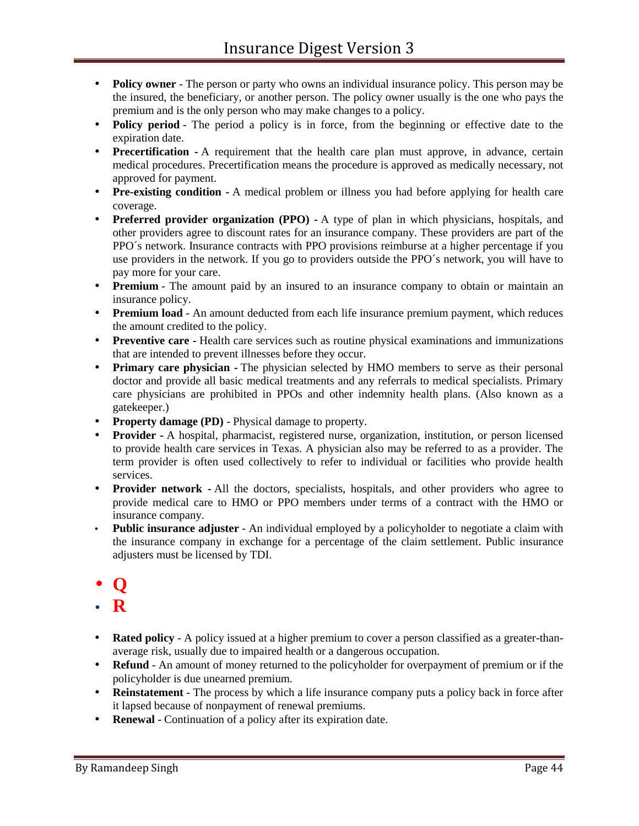- **Policy owner** The person or party who owns an individual insurance policy. This person may be the insured, the beneficiary, or another person. The policy owner usually is the one who pays the premium and is the only person who may make changes to a policy.
- **Policy period** The period a policy is in force, from the beginning or effective date to the expiration date.
- **Precertification -** A requirement that the health care plan must approve, in advance, certain medical procedures. Precertification means the procedure is approved as medically necessary, not approved for payment.
- **Pre-existing condition -** A medical problem or illness you had before applying for health care coverage.
- **Preferred provider organization (PPO) -** A type of plan in which physicians, hospitals, and other providers agree to discount rates for an insurance company. These providers are part of the PPO´s network. Insurance contracts with PPO provisions reimburse at a higher percentage if you use providers in the network. If you go to providers outside the PPO´s network, you will have to pay more for your care.
- **Premium** The amount paid by an insured to an insurance company to obtain or maintain an insurance policy.
- **Premium load** An amount deducted from each life insurance premium payment, which reduces the amount credited to the policy.
- **Preventive care -** Health care services such as routine physical examinations and immunizations that are intended to prevent illnesses before they occur.
- **Primary care physician -** The physician selected by HMO members to serve as their personal doctor and provide all basic medical treatments and any referrals to medical specialists. Primary care physicians are prohibited in PPOs and other indemnity health plans. (Also known as a gatekeeper.)
- **Property damage (PD)** Physical damage to property.
- **Provider -** A hospital, pharmacist, registered nurse, organization, institution, or person licensed to provide health care services in Texas. A physician also may be referred to as a provider. The term provider is often used collectively to refer to individual or facilities who provide health services.
- **Provider network -** All the doctors, specialists, hospitals, and other providers who agree to provide medical care to HMO or PPO members under terms of a contract with the HMO or insurance company.
- **Public insurance adjuster** An individual employed by a policyholder to negotiate a claim with the insurance company in exchange for a percentage of the claim settlement. Public insurance adjusters must be licensed by TDI.
- **Q**
- **R**
- **Rated policy** A policy issued at a higher premium to cover a person classified as a greater-thanaverage risk, usually due to impaired health or a dangerous occupation.
- **Refund** An amount of money returned to the policyholder for overpayment of premium or if the policyholder is due unearned premium.
- **Reinstatement** The process by which a life insurance company puts a policy back in force after it lapsed because of nonpayment of renewal premiums.
- **Renewal** Continuation of a policy after its expiration date.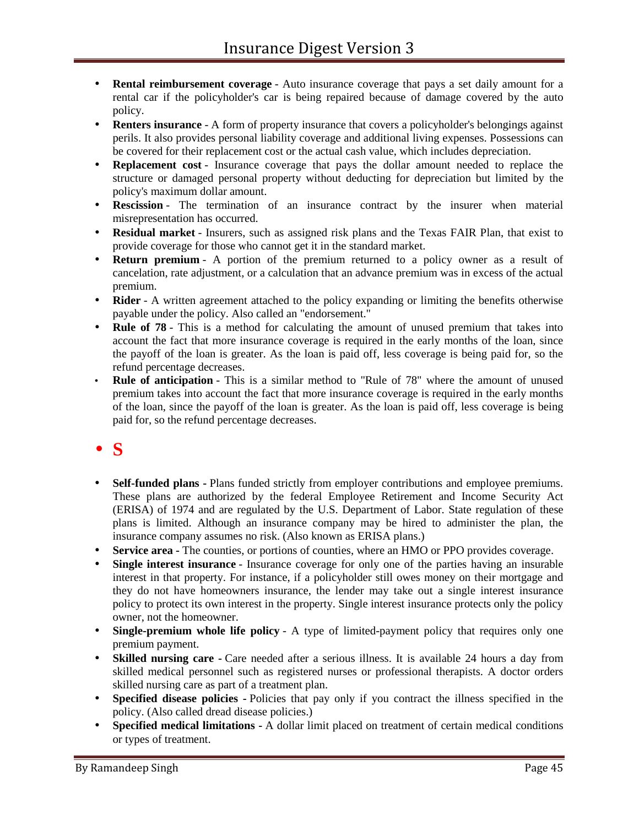- **Rental reimbursement coverage** Auto insurance coverage that pays a set daily amount for a rental car if the policyholder's car is being repaired because of damage covered by the auto policy.
- **Renters insurance** A form of property insurance that covers a policyholder's belongings against perils. It also provides personal liability coverage and additional living expenses. Possessions can be covered for their replacement cost or the actual cash value, which includes depreciation.
- **Replacement cost** Insurance coverage that pays the dollar amount needed to replace the structure or damaged personal property without deducting for depreciation but limited by the policy's maximum dollar amount.
- **Rescission** The termination of an insurance contract by the insurer when material misrepresentation has occurred.
- **Residual market** Insurers, such as assigned risk plans and the Texas FAIR Plan, that exist to provide coverage for those who cannot get it in the standard market.
- **Return premium** A portion of the premium returned to a policy owner as a result of cancelation, rate adjustment, or a calculation that an advance premium was in excess of the actual premium.
- **Rider** A written agreement attached to the policy expanding or limiting the benefits otherwise payable under the policy. Also called an "endorsement."
- **Rule of 78** This is a method for calculating the amount of unused premium that takes into account the fact that more insurance coverage is required in the early months of the loan, since the payoff of the loan is greater. As the loan is paid off, less coverage is being paid for, so the refund percentage decreases.
- **Rule of anticipation** This is a similar method to "Rule of 78" where the amount of unused premium takes into account the fact that more insurance coverage is required in the early months of the loan, since the payoff of the loan is greater. As the loan is paid off, less coverage is being paid for, so the refund percentage decreases.

# **S**

- **Self-funded plans -** Plans funded strictly from employer contributions and employee premiums. These plans are authorized by the federal Employee Retirement and Income Security Act (ERISA) of 1974 and are regulated by the U.S. Department of Labor. State regulation of these plans is limited. Although an insurance company may be hired to administer the plan, the insurance company assumes no risk. (Also known as ERISA plans.)
- **Service area -** The counties, or portions of counties, where an HMO or PPO provides coverage.
- **Single interest insurance** Insurance coverage for only one of the parties having an insurable interest in that property. For instance, if a policyholder still owes money on their mortgage and they do not have homeowners insurance, the lender may take out a single interest insurance policy to protect its own interest in the property. Single interest insurance protects only the policy owner, not the homeowner.
- **Single-premium whole life policy** A type of limited-payment policy that requires only one premium payment.
- **Skilled nursing care -** Care needed after a serious illness. It is available 24 hours a day from skilled medical personnel such as registered nurses or professional therapists. A doctor orders skilled nursing care as part of a treatment plan.
- **Specified disease policies -** Policies that pay only if you contract the illness specified in the policy. (Also called dread disease policies.)
- **Specified medical limitations -** A dollar limit placed on treatment of certain medical conditions or types of treatment.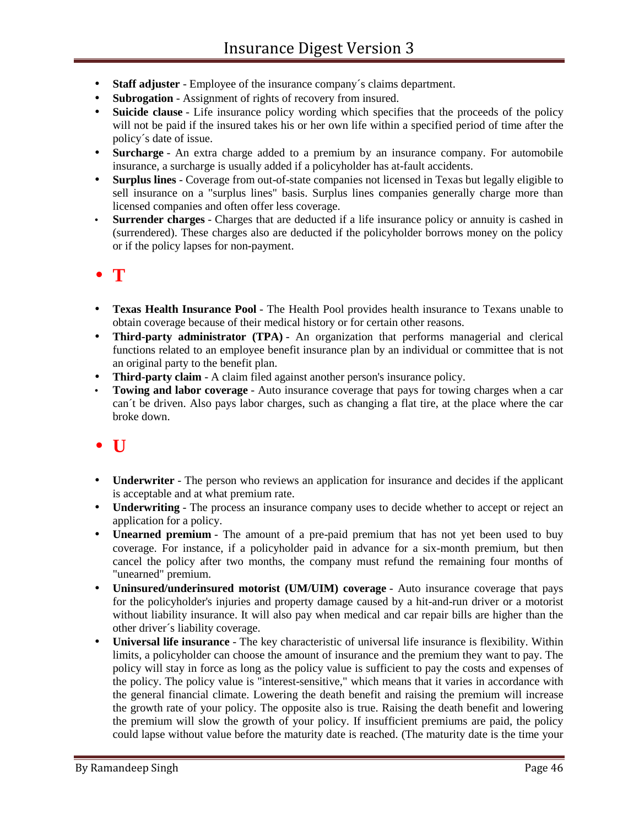- **Staff adjuster** Employee of the insurance company´s claims department.
- **Subrogation** Assignment of rights of recovery from insured.
- **Suicide clause** Life insurance policy wording which specifies that the proceeds of the policy will not be paid if the insured takes his or her own life within a specified period of time after the policy´s date of issue.
- **Surcharge** An extra charge added to a premium by an insurance company. For automobile insurance, a surcharge is usually added if a policyholder has at-fault accidents.
- **Surplus lines** Coverage from out-of-state companies not licensed in Texas but legally eligible to sell insurance on a "surplus lines" basis. Surplus lines companies generally charge more than licensed companies and often offer less coverage.
- **Surrender charges** Charges that are deducted if a life insurance policy or annuity is cashed in (surrendered). These charges also are deducted if the policyholder borrows money on the policy or if the policy lapses for non-payment.

### **T**

- **Texas Health Insurance Pool** The Health Pool provides health insurance to Texans unable to obtain coverage because of their medical history or for certain other reasons.
- **Third-party administrator (TPA)** An organization that performs managerial and clerical functions related to an employee benefit insurance plan by an individual or committee that is not an original party to the benefit plan.
- **Third-party claim** A claim filed against another person's insurance policy.
- **Towing and labor coverage** Auto insurance coverage that pays for towing charges when a car can´t be driven. Also pays labor charges, such as changing a flat tire, at the place where the car broke down.

### $\bullet$  U

- **Underwriter** The person who reviews an application for insurance and decides if the applicant is acceptable and at what premium rate.
- **Underwriting** The process an insurance company uses to decide whether to accept or reject an application for a policy.
- **Unearned premium** The amount of a pre-paid premium that has not yet been used to buy coverage. For instance, if a policyholder paid in advance for a six-month premium, but then cancel the policy after two months, the company must refund the remaining four months of "unearned" premium.
- **Uninsured/underinsured motorist (UM/UIM) coverage** Auto insurance coverage that pays for the policyholder's injuries and property damage caused by a hit-and-run driver or a motorist without liability insurance. It will also pay when medical and car repair bills are higher than the other driver´s liability coverage.
- **Universal life insurance** The key characteristic of universal life insurance is flexibility. Within limits, a policyholder can choose the amount of insurance and the premium they want to pay. The policy will stay in force as long as the policy value is sufficient to pay the costs and expenses of the policy. The policy value is "interest-sensitive," which means that it varies in accordance with the general financial climate. Lowering the death benefit and raising the premium will increase the growth rate of your policy. The opposite also is true. Raising the death benefit and lowering the premium will slow the growth of your policy. If insufficient premiums are paid, the policy could lapse without value before the maturity date is reached. (The maturity date is the time your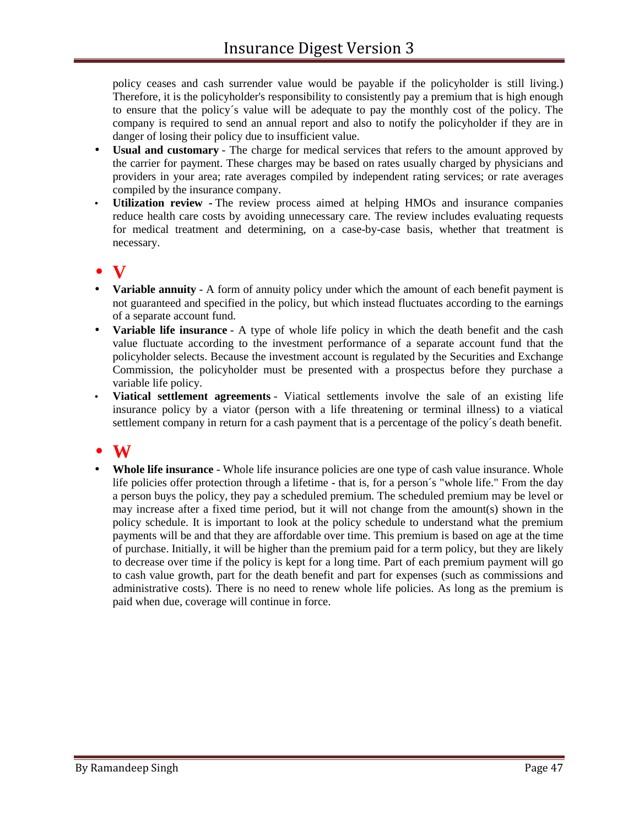policy ceases and cash surrender value would be payable if the policyholder is still living.) Therefore, it is the policyholder's responsibility to consistently pay a premium that is high enough to ensure that the policy´s value will be adequate to pay the monthly cost of the policy. The company is required to send an annual report and also to notify the policyholder if they are in danger of losing their policy due to insufficient value.

- **Usual and customary** The charge for medical services that refers to the amount approved by the carrier for payment. These charges may be based on rates usually charged by physicians and providers in your area; rate averages compiled by independent rating services; or rate averages compiled by the insurance company.
- **Utilization review -** The review process aimed at helping HMOs and insurance companies reduce health care costs by avoiding unnecessary care. The review includes evaluating requests for medical treatment and determining, on a case-by-case basis, whether that treatment is necessary.

# **V**

- **Variable annuity** A form of annuity policy under which the amount of each benefit payment is not guaranteed and specified in the policy, but which instead fluctuates according to the earnings of a separate account fund.
- **Variable life insurance** A type of whole life policy in which the death benefit and the cash value fluctuate according to the investment performance of a separate account fund that the policyholder selects. Because the investment account is regulated by the Securities and Exchange Commission, the policyholder must be presented with a prospectus before they purchase a variable life policy.
- **Viatical settlement agreements** Viatical settlements involve the sale of an existing life insurance policy by a viator (person with a life threatening or terminal illness) to a viatical settlement company in return for a cash payment that is a percentage of the policy´s death benefit.

### **W**

 **Whole life insurance** - Whole life insurance policies are one type of cash value insurance. Whole life policies offer protection through a lifetime - that is, for a person´s "whole life." From the day a person buys the policy, they pay a scheduled premium. The scheduled premium may be level or may increase after a fixed time period, but it will not change from the amount(s) shown in the policy schedule. It is important to look at the policy schedule to understand what the premium payments will be and that they are affordable over time. This premium is based on age at the time of purchase. Initially, it will be higher than the premium paid for a term policy, but they are likely to decrease over time if the policy is kept for a long time. Part of each premium payment will go to cash value growth, part for the death benefit and part for expenses (such as commissions and administrative costs). There is no need to renew whole life policies. As long as the premium is paid when due, coverage will continue in force.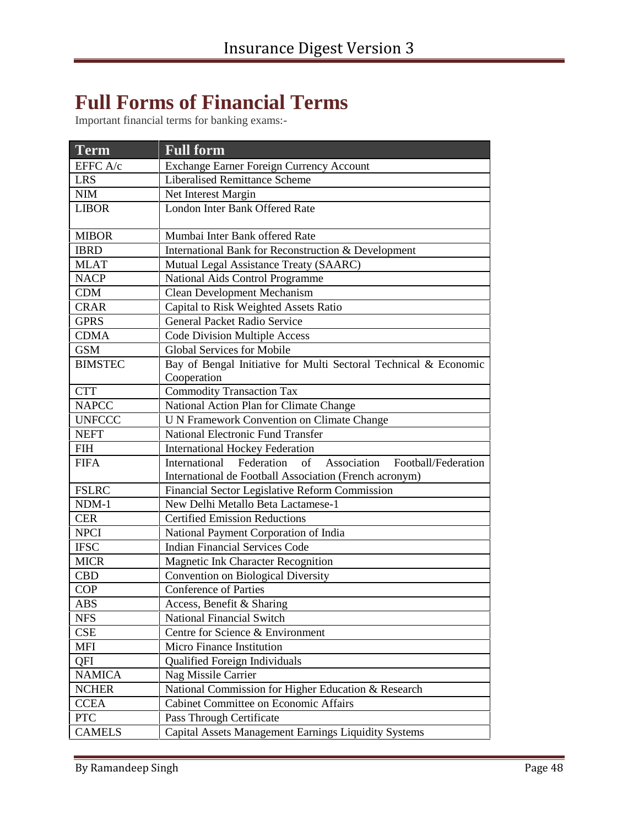# **Full Forms of Financial Terms**

Important financial terms for banking exams:-

| <b>Term</b>    | <b>Full form</b>                                                        |
|----------------|-------------------------------------------------------------------------|
| EFFC A/c       | Exchange Earner Foreign Currency Account                                |
| <b>LRS</b>     | <b>Liberalised Remittance Scheme</b>                                    |
| <b>NIM</b>     | Net Interest Margin                                                     |
| <b>LIBOR</b>   | London Inter Bank Offered Rate                                          |
|                |                                                                         |
| <b>MIBOR</b>   | Mumbai Inter Bank offered Rate                                          |
| <b>IBRD</b>    | International Bank for Reconstruction & Development                     |
| <b>MLAT</b>    | Mutual Legal Assistance Treaty (SAARC)                                  |
| <b>NACP</b>    | National Aids Control Programme                                         |
| <b>CDM</b>     | <b>Clean Development Mechanism</b>                                      |
| <b>CRAR</b>    | Capital to Risk Weighted Assets Ratio                                   |
| <b>GPRS</b>    | General Packet Radio Service                                            |
| <b>CDMA</b>    | <b>Code Division Multiple Access</b>                                    |
| <b>GSM</b>     | <b>Global Services for Mobile</b>                                       |
| <b>BIMSTEC</b> | Bay of Bengal Initiative for Multi Sectoral Technical & Economic        |
|                | Cooperation                                                             |
| <b>CTT</b>     | <b>Commodity Transaction Tax</b>                                        |
| <b>NAPCC</b>   | National Action Plan for Climate Change                                 |
| <b>UNFCCC</b>  | <b>U N Framework Convention on Climate Change</b>                       |
| <b>NEFT</b>    | <b>National Electronic Fund Transfer</b>                                |
| <b>FIH</b>     | <b>International Hockey Federation</b>                                  |
| <b>FIFA</b>    | International<br>Federation<br>Association<br>of<br>Football/Federation |
|                | International de Football Association (French acronym)                  |
| <b>FSLRC</b>   | Financial Sector Legislative Reform Commission                          |
| NDM-1          | New Delhi Metallo Beta Lactamese-1                                      |
| <b>CER</b>     | <b>Certified Emission Reductions</b>                                    |
| <b>NPCI</b>    | National Payment Corporation of India                                   |
| <b>IFSC</b>    | <b>Indian Financial Services Code</b>                                   |
| <b>MICR</b>    | Magnetic Ink Character Recognition                                      |
| <b>CBD</b>     | Convention on Biological Diversity                                      |
| <b>COP</b>     | <b>Conference of Parties</b>                                            |
| <b>ABS</b>     | Access, Benefit & Sharing                                               |
| <b>NFS</b>     | National Financial Switch                                               |
| <b>CSE</b>     | Centre for Science & Environment                                        |
| <b>MFI</b>     | Micro Finance Institution                                               |
| QFI            | Qualified Foreign Individuals                                           |
| <b>NAMICA</b>  | Nag Missile Carrier                                                     |
| <b>NCHER</b>   | National Commission for Higher Education & Research                     |
| <b>CCEA</b>    | Cabinet Committee on Economic Affairs                                   |
| <b>PTC</b>     | Pass Through Certificate                                                |
| <b>CAMELS</b>  | Capital Assets Management Earnings Liquidity Systems                    |